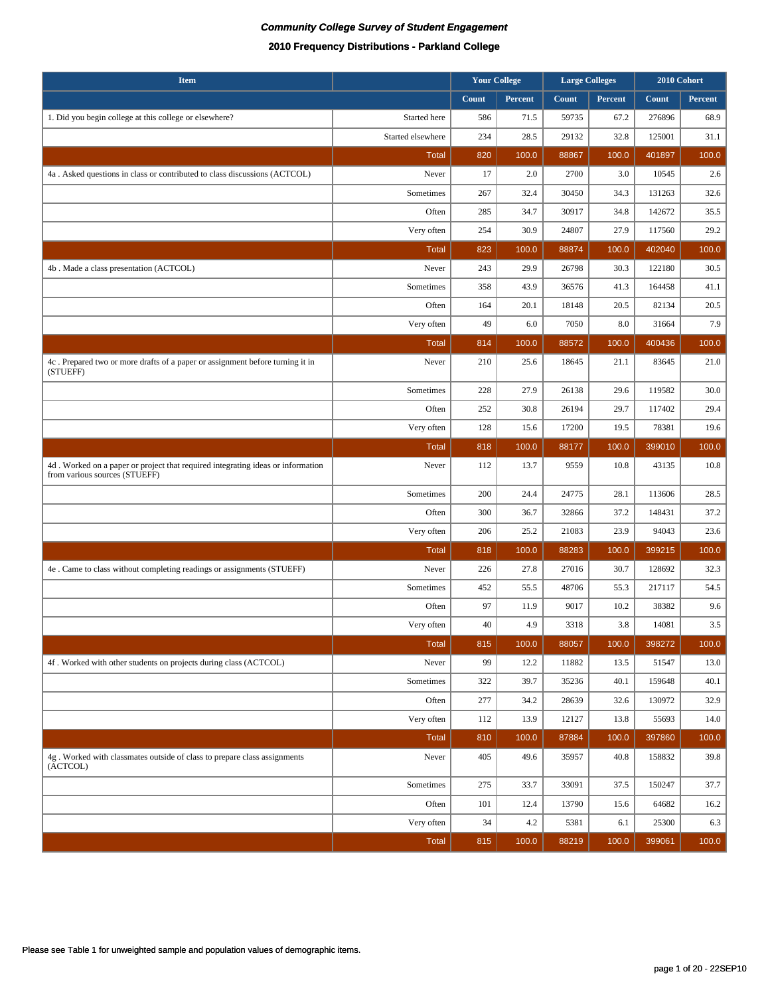| <b>Item</b>                                                                                                      |                   |       | <b>Your College</b><br><b>Large Colleges</b> |       |         | 2010 Cohort |         |
|------------------------------------------------------------------------------------------------------------------|-------------------|-------|----------------------------------------------|-------|---------|-------------|---------|
|                                                                                                                  |                   | Count | Percent                                      | Count | Percent | Count       | Percent |
| 1. Did you begin college at this college or elsewhere?                                                           | Started here      | 586   | 71.5                                         | 59735 | 67.2    | 276896      | 68.9    |
|                                                                                                                  | Started elsewhere | 234   | 28.5                                         | 29132 | 32.8    | 125001      | 31.1    |
|                                                                                                                  | <b>Total</b>      | 820   | 100.0                                        | 88867 | 100.0   | 401897      | 100.0   |
| 4a. Asked questions in class or contributed to class discussions (ACTCOL)                                        | Never             | 17    | 2.0                                          | 2700  | 3.0     | 10545       | 2.6     |
|                                                                                                                  | Sometimes         | 267   | 32.4                                         | 30450 | 34.3    | 131263      | 32.6    |
|                                                                                                                  | Often             | 285   | 34.7                                         | 30917 | 34.8    | 142672      | 35.5    |
|                                                                                                                  | Very often        | 254   | 30.9                                         | 24807 | 27.9    | 117560      | 29.2    |
|                                                                                                                  | Total             | 823   | 100.0                                        | 88874 | 100.0   | 402040      | 100.0   |
| 4b . Made a class presentation (ACTCOL)                                                                          | Never             | 243   | 29.9                                         | 26798 | 30.3    | 122180      | 30.5    |
|                                                                                                                  | Sometimes         | 358   | 43.9                                         | 36576 | 41.3    | 164458      | 41.1    |
|                                                                                                                  | Often             | 164   | 20.1                                         | 18148 | 20.5    | 82134       | 20.5    |
|                                                                                                                  | Very often        | 49    | 6.0                                          | 7050  | 8.0     | 31664       | 7.9     |
|                                                                                                                  | <b>Total</b>      | 814   | 100.0                                        | 88572 | 100.0   | 400436      | 100.0   |
| 4c. Prepared two or more drafts of a paper or assignment before turning it in<br>(STUEFF)                        | Never             | 210   | 25.6                                         | 18645 | 21.1    | 83645       | 21.0    |
|                                                                                                                  | Sometimes         | 228   | 27.9                                         | 26138 | 29.6    | 119582      | 30.0    |
|                                                                                                                  | Often             | 252   | 30.8                                         | 26194 | 29.7    | 117402      | 29.4    |
|                                                                                                                  | Very often        | 128   | 15.6                                         | 17200 | 19.5    | 78381       | 19.6    |
|                                                                                                                  | Total             | 818   | 100.0                                        | 88177 | 100.0   | 399010      | 100.0   |
| 4d. Worked on a paper or project that required integrating ideas or information<br>from various sources (STUEFF) | Never             | 112   | 13.7                                         | 9559  | 10.8    | 43135       | 10.8    |
|                                                                                                                  | Sometimes         | 200   | 24.4                                         | 24775 | 28.1    | 113606      | 28.5    |
|                                                                                                                  | Often             | 300   | 36.7                                         | 32866 | 37.2    | 148431      | 37.2    |
|                                                                                                                  | Very often        | 206   | 25.2                                         | 21083 | 23.9    | 94043       | 23.6    |
|                                                                                                                  | <b>Total</b>      | 818   | 100.0                                        | 88283 | 100.0   | 399215      | 100.0   |
| 4e . Came to class without completing readings or assignments (STUEFF)                                           | Never             | 226   | 27.8                                         | 27016 | 30.7    | 128692      | 32.3    |
|                                                                                                                  | Sometimes         | 452   | 55.5                                         | 48706 | 55.3    | 217117      | 54.5    |
|                                                                                                                  | Often             | 97    | 11.9                                         | 9017  | 10.2    | 38382       | 9.6     |
|                                                                                                                  | Very often        | 40    | 4.9                                          | 3318  | 3.8     | 14081       | $3.5\,$ |
|                                                                                                                  | <b>Total</b>      | 815   | 100.0                                        | 88057 | 100.0   | 398272      | 100.0   |
| 4f. Worked with other students on projects during class (ACTCOL)                                                 | Never             | 99    | 12.2                                         | 11882 | 13.5    | 51547       | 13.0    |
|                                                                                                                  | Sometimes         | 322   | 39.7                                         | 35236 | 40.1    | 159648      | 40.1    |
|                                                                                                                  | Often             | 277   | 34.2                                         | 28639 | 32.6    | 130972      | 32.9    |
|                                                                                                                  | Very often        | 112   | 13.9                                         | 12127 | 13.8    | 55693       | 14.0    |
|                                                                                                                  | <b>Total</b>      | 810   | 100.0                                        | 87884 | 100.0   | 397860      | 100.0   |
| 4g. Worked with classmates outside of class to prepare class assignments<br>(ACTCOL)                             | Never             | 405   | 49.6                                         | 35957 | 40.8    | 158832      | 39.8    |
|                                                                                                                  | Sometimes         | 275   | 33.7                                         | 33091 | 37.5    | 150247      | 37.7    |
|                                                                                                                  | Often             | 101   | 12.4                                         | 13790 | 15.6    | 64682       | 16.2    |
|                                                                                                                  | Very often        | 34    | 4.2                                          | 5381  | 6.1     | 25300       | 6.3     |
|                                                                                                                  | Total             | 815   | 100.0                                        | 88219 | 100.0   | 399061      | 100.0   |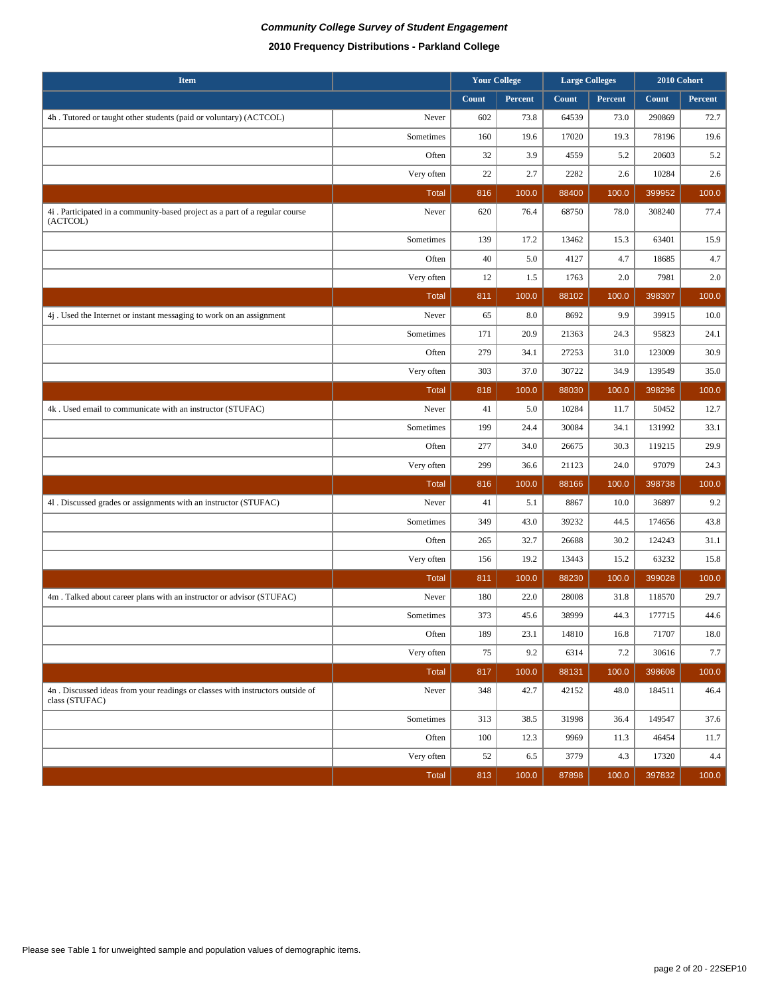## **Community College Survey of Student Engagement 2010 Frequency Distributions - Parkland College**

| <b>Item</b>                                                                                      |              | <b>Your College</b> |         | <b>Large Colleges</b> |         | 2010 Cohort |          |
|--------------------------------------------------------------------------------------------------|--------------|---------------------|---------|-----------------------|---------|-------------|----------|
|                                                                                                  |              | Count               | Percent | Count                 | Percent | Count       | Percent  |
| 4h . Tutored or taught other students (paid or voluntary) (ACTCOL)                               | Never        | 602                 | 73.8    | 64539                 | 73.0    | 290869      | 72.7     |
|                                                                                                  | Sometimes    | 160                 | 19.6    | 17020                 | 19.3    | 78196       | 19.6     |
|                                                                                                  | Often        | 32                  | 3.9     | 4559                  | 5.2     | 20603       | 5.2      |
|                                                                                                  | Very often   | 22                  | 2.7     | 2282                  | 2.6     | 10284       | $2.6\,$  |
|                                                                                                  | <b>Total</b> | 816                 | 100.0   | 88400                 | 100.0   | 399952      | 100.0    |
| 4i . Participated in a community-based project as a part of a regular course<br>(ACTCOL)         | Never        | 620                 | 76.4    | 68750                 | 78.0    | 308240      | 77.4     |
|                                                                                                  | Sometimes    | 139                 | 17.2    | 13462                 | 15.3    | 63401       | 15.9     |
|                                                                                                  | Often        | 40                  | 5.0     | 4127                  | 4.7     | 18685       | 4.7      |
|                                                                                                  | Very often   | 12                  | 1.5     | 1763                  | 2.0     | 7981        | $2.0\,$  |
|                                                                                                  | <b>Total</b> | 811                 | 100.0   | 88102                 | 100.0   | 398307      | 100.0    |
| 4j. Used the Internet or instant messaging to work on an assignment                              | Never        | 65                  | 8.0     | 8692                  | 9.9     | 39915       | $10.0\,$ |
|                                                                                                  | Sometimes    | 171                 | 20.9    | 21363                 | 24.3    | 95823       | 24.1     |
|                                                                                                  | Often        | 279                 | 34.1    | 27253                 | 31.0    | 123009      | 30.9     |
|                                                                                                  | Very often   | 303                 | 37.0    | 30722                 | 34.9    | 139549      | 35.0     |
|                                                                                                  | <b>Total</b> | 818                 | 100.0   | 88030                 | 100.0   | 398296      | 100.0    |
| 4k . Used email to communicate with an instructor (STUFAC)                                       | Never        | 41                  | 5.0     | 10284                 | 11.7    | 50452       | 12.7     |
|                                                                                                  | Sometimes    | 199                 | 24.4    | 30084                 | 34.1    | 131992      | 33.1     |
|                                                                                                  | Often        | 277                 | 34.0    | 26675                 | 30.3    | 119215      | 29.9     |
|                                                                                                  | Very often   | 299                 | 36.6    | 21123                 | 24.0    | 97079       | 24.3     |
|                                                                                                  | <b>Total</b> | 816                 | 100.0   | 88166                 | 100.0   | 398738      | 100.0    |
| 41. Discussed grades or assignments with an instructor (STUFAC)                                  | Never        | 41                  | 5.1     | 8867                  | 10.0    | 36897       | 9.2      |
|                                                                                                  | Sometimes    | 349                 | 43.0    | 39232                 | 44.5    | 174656      | 43.8     |
|                                                                                                  | Often        | 265                 | 32.7    | 26688                 | 30.2    | 124243      | 31.1     |
|                                                                                                  | Very often   | 156                 | 19.2    | 13443                 | 15.2    | 63232       | 15.8     |
|                                                                                                  | <b>Total</b> | 811                 | 100.0   | 88230                 | 100.0   | 399028      | 100.0    |
| 4m. Talked about career plans with an instructor or advisor (STUFAC)                             | Never        | 180                 | 22.0    | 28008                 | 31.8    | 118570      | 29.7     |
|                                                                                                  | Sometimes    | 373                 | 45.6    | 38999                 | 44.3    | 177715      | 44.6     |
|                                                                                                  | Often        | 189                 | 23.1    | 14810                 | 16.8    | 71707       | 18.0     |
|                                                                                                  | Very often   | 75                  | 9.2     | 6314                  | 7.2     | 30616       | 7.7      |
|                                                                                                  | <b>Total</b> | 817                 | 100.0   | 88131                 | 100.0   | 398608      | 100.0    |
| 4n . Discussed ideas from your readings or classes with instructors outside of<br>class (STUFAC) | Never        | 348                 | 42.7    | 42152                 | 48.0    | 184511      | 46.4     |
|                                                                                                  | Sometimes    | 313                 | 38.5    | 31998                 | 36.4    | 149547      | 37.6     |
|                                                                                                  | Often        | 100                 | 12.3    | 9969                  | 11.3    | 46454       | 11.7     |
|                                                                                                  | Very often   | 52                  | 6.5     | 3779                  | 4.3     | 17320       | 4.4      |
|                                                                                                  | Total        | 813                 | 100.0   | 87898                 | 100.0   | 397832      | 100.0    |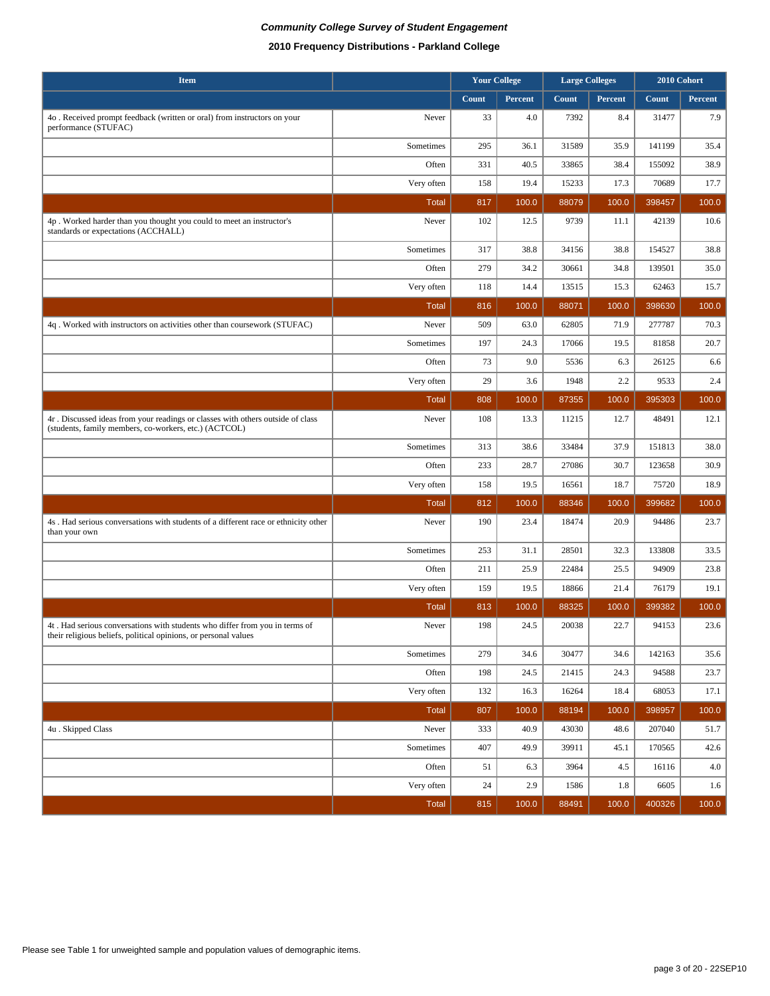| <b>Item</b>                                                                                                                                    |              |       | <b>Your College</b><br><b>Large Colleges</b> |       |         | 2010 Cohort |         |
|------------------------------------------------------------------------------------------------------------------------------------------------|--------------|-------|----------------------------------------------|-------|---------|-------------|---------|
|                                                                                                                                                |              | Count | Percent                                      | Count | Percent | Count       | Percent |
| 4o. Received prompt feedback (written or oral) from instructors on your<br>performance (STUFAC)                                                | Never        | 33    | 4.0                                          | 7392  | 8.4     | 31477       | 7.9     |
|                                                                                                                                                | Sometimes    | 295   | 36.1                                         | 31589 | 35.9    | 141199      | 35.4    |
|                                                                                                                                                | Often        | 331   | 40.5                                         | 33865 | 38.4    | 155092      | 38.9    |
|                                                                                                                                                | Very often   | 158   | 19.4                                         | 15233 | 17.3    | 70689       | 17.7    |
|                                                                                                                                                | <b>Total</b> | 817   | 100.0                                        | 88079 | 100.0   | 398457      | 100.0   |
| 4p. Worked harder than you thought you could to meet an instructor's<br>standards or expectations (ACCHALL)                                    | Never        | 102   | 12.5                                         | 9739  | 11.1    | 42139       | 10.6    |
|                                                                                                                                                | Sometimes    | 317   | 38.8                                         | 34156 | 38.8    | 154527      | 38.8    |
|                                                                                                                                                | Often        | 279   | 34.2                                         | 30661 | 34.8    | 139501      | 35.0    |
|                                                                                                                                                | Very often   | 118   | 14.4                                         | 13515 | 15.3    | 62463       | 15.7    |
|                                                                                                                                                | <b>Total</b> | 816   | 100.0                                        | 88071 | 100.0   | 398630      | 100.0   |
| 4q. Worked with instructors on activities other than coursework (STUFAC)                                                                       | Never        | 509   | 63.0                                         | 62805 | 71.9    | 277787      | 70.3    |
|                                                                                                                                                | Sometimes    | 197   | 24.3                                         | 17066 | 19.5    | 81858       | 20.7    |
|                                                                                                                                                | Often        | 73    | 9.0                                          | 5536  | 6.3     | 26125       | 6.6     |
|                                                                                                                                                | Very often   | 29    | 3.6                                          | 1948  | 2.2     | 9533        | 2.4     |
|                                                                                                                                                | Total        | 808   | 100.0                                        | 87355 | 100.0   | 395303      | 100.0   |
| 4r. Discussed ideas from your readings or classes with others outside of class<br>(students, family members, co-workers, etc.) (ACTCOL)        | Never        | 108   | 13.3                                         | 11215 | 12.7    | 48491       | 12.1    |
|                                                                                                                                                | Sometimes    | 313   | 38.6                                         | 33484 | 37.9    | 151813      | 38.0    |
|                                                                                                                                                | Often        | 233   | 28.7                                         | 27086 | 30.7    | 123658      | 30.9    |
|                                                                                                                                                | Very often   | 158   | 19.5                                         | 16561 | 18.7    | 75720       | 18.9    |
|                                                                                                                                                | <b>Total</b> | 812   | 100.0                                        | 88346 | 100.0   | 399682      | 100.0   |
| 4s. Had serious conversations with students of a different race or ethnicity other<br>than your own                                            | Never        | 190   | 23.4                                         | 18474 | 20.9    | 94486       | 23.7    |
|                                                                                                                                                | Sometimes    | 253   | 31.1                                         | 28501 | 32.3    | 133808      | 33.5    |
|                                                                                                                                                | Often        | 211   | 25.9                                         | 22484 | 25.5    | 94909       | 23.8    |
|                                                                                                                                                | Very often   | 159   | 19.5                                         | 18866 | 21.4    | 76179       | 19.1    |
|                                                                                                                                                | <b>Total</b> | 813   | 100.0                                        | 88325 | 100.0   | 399382      | 100.0   |
| 4t. Had serious conversations with students who differ from you in terms of<br>their religious beliefs, political opinions, or personal values | Never        | 198   | 24.5                                         | 20038 | 22.7    | 94153       | 23.6    |
|                                                                                                                                                | Sometimes    | 279   | 34.6                                         | 30477 | 34.6    | 142163      | 35.6    |
|                                                                                                                                                | Often        | 198   | 24.5                                         | 21415 | 24.3    | 94588       | 23.7    |
|                                                                                                                                                | Very often   | 132   | 16.3                                         | 16264 | 18.4    | 68053       | 17.1    |
|                                                                                                                                                | <b>Total</b> | 807   | 100.0                                        | 88194 | 100.0   | 398957      | 100.0   |
| 4u. Skipped Class                                                                                                                              | Never        | 333   | 40.9                                         | 43030 | 48.6    | 207040      | 51.7    |
|                                                                                                                                                | Sometimes    | 407   | 49.9                                         | 39911 | 45.1    | 170565      | 42.6    |
|                                                                                                                                                | Often        | 51    | 6.3                                          | 3964  | 4.5     | 16116       | 4.0     |
|                                                                                                                                                | Very often   | 24    | 2.9                                          | 1586  | 1.8     | 6605        | 1.6     |
|                                                                                                                                                | <b>Total</b> | 815   | 100.0                                        | 88491 | 100.0   | 400326      | 100.0   |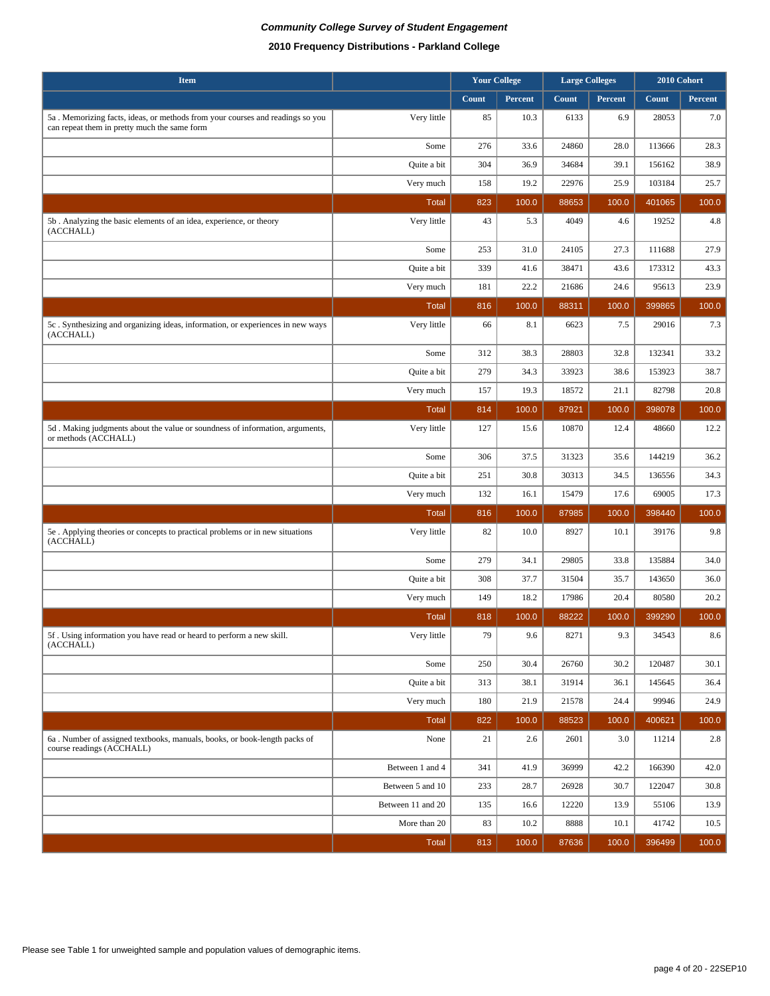| <b>Item</b>                                                                                                                   |                   |       | <b>Your College</b> | <b>Large Colleges</b> |         |        | 2010 Cohort |
|-------------------------------------------------------------------------------------------------------------------------------|-------------------|-------|---------------------|-----------------------|---------|--------|-------------|
|                                                                                                                               |                   | Count | Percent             | Count                 | Percent | Count  | Percent     |
| 5a. Memorizing facts, ideas, or methods from your courses and readings so you<br>can repeat them in pretty much the same form | Very little       | 85    | 10.3                | 6133                  | 6.9     | 28053  | 7.0         |
|                                                                                                                               | Some              | 276   | 33.6                | 24860                 | 28.0    | 113666 | 28.3        |
|                                                                                                                               | Quite a bit       | 304   | 36.9                | 34684                 | 39.1    | 156162 | 38.9        |
|                                                                                                                               | Very much         | 158   | 19.2                | 22976                 | 25.9    | 103184 | 25.7        |
|                                                                                                                               | <b>Total</b>      | 823   | 100.0               | 88653                 | 100.0   | 401065 | 100.0       |
| 5b. Analyzing the basic elements of an idea, experience, or theory<br>(ACCHALL)                                               | Very little       | 43    | 5.3                 | 4049                  | 4.6     | 19252  | 4.8         |
|                                                                                                                               | Some              | 253   | 31.0                | 24105                 | 27.3    | 111688 | 27.9        |
|                                                                                                                               | Quite a bit       | 339   | 41.6                | 38471                 | 43.6    | 173312 | 43.3        |
|                                                                                                                               | Very much         | 181   | 22.2                | 21686                 | 24.6    | 95613  | 23.9        |
|                                                                                                                               | <b>Total</b>      | 816   | 100.0               | 88311                 | 100.0   | 399865 | 100.0       |
| 5c. Synthesizing and organizing ideas, information, or experiences in new ways<br>(ACCHALL)                                   | Very little       | 66    | 8.1                 | 6623                  | 7.5     | 29016  | 7.3         |
|                                                                                                                               | Some              | 312   | 38.3                | 28803                 | 32.8    | 132341 | 33.2        |
|                                                                                                                               | Quite a bit       | 279   | 34.3                | 33923                 | 38.6    | 153923 | 38.7        |
|                                                                                                                               | Very much         | 157   | 19.3                | 18572                 | 21.1    | 82798  | 20.8        |
|                                                                                                                               | <b>Total</b>      | 814   | 100.0               | 87921                 | 100.0   | 398078 | 100.0       |
| 5d. Making judgments about the value or soundness of information, arguments,<br>or methods (ACCHALL)                          | Very little       | 127   | 15.6                | 10870                 | 12.4    | 48660  | 12.2        |
|                                                                                                                               | Some              | 306   | 37.5                | 31323                 | 35.6    | 144219 | 36.2        |
|                                                                                                                               | Quite a bit       | 251   | 30.8                | 30313                 | 34.5    | 136556 | 34.3        |
|                                                                                                                               | Very much         | 132   | 16.1                | 15479                 | 17.6    | 69005  | 17.3        |
|                                                                                                                               | <b>Total</b>      | 816   | 100.0               | 87985                 | 100.0   | 398440 | 100.0       |
| 5e. Applying theories or concepts to practical problems or in new situations<br>(ACCHALL)                                     | Very little       | 82    | 10.0                | 8927                  | 10.1    | 39176  | 9.8         |
|                                                                                                                               | Some              | 279   | 34.1                | 29805                 | 33.8    | 135884 | 34.0        |
|                                                                                                                               | Quite a bit       | 308   | 37.7                | 31504                 | 35.7    | 143650 | 36.0        |
|                                                                                                                               | Very much         | 149   | 18.2                | 17986                 | 20.4    | 80580  | 20.2        |
|                                                                                                                               | Total             | 818   | 100.0               | 88222                 | 100.0   | 399290 | 100.0       |
| 5f. Using information you have read or heard to perform a new skill.<br>(ACCHALL)                                             | Very little       | 79    | 9.6                 | 8271                  | 9.3     | 34543  | 8.6         |
|                                                                                                                               | Some              | 250   | 30.4                | 26760                 | 30.2    | 120487 | 30.1        |
|                                                                                                                               | Quite a bit       | 313   | 38.1                | 31914                 | 36.1    | 145645 | 36.4        |
|                                                                                                                               | Very much         | 180   | 21.9                | 21578                 | 24.4    | 99946  | 24.9        |
|                                                                                                                               | <b>Total</b>      | 822   | 100.0               | 88523                 | 100.0   | 400621 | 100.0       |
| 6a. Number of assigned textbooks, manuals, books, or book-length packs of<br>course readings (ACCHALL)                        | None              | 21    | 2.6                 | 2601                  | 3.0     | 11214  | 2.8         |
|                                                                                                                               | Between 1 and 4   | 341   | 41.9                | 36999                 | 42.2    | 166390 | 42.0        |
|                                                                                                                               | Between 5 and 10  | 233   | 28.7                | 26928                 | 30.7    | 122047 | 30.8        |
|                                                                                                                               | Between 11 and 20 | 135   | 16.6                | 12220                 | 13.9    | 55106  | 13.9        |
|                                                                                                                               | More than 20      | 83    | 10.2                | 8888                  | 10.1    | 41742  | 10.5        |
|                                                                                                                               | <b>Total</b>      | 813   | 100.0               | 87636                 | 100.0   | 396499 | 100.0       |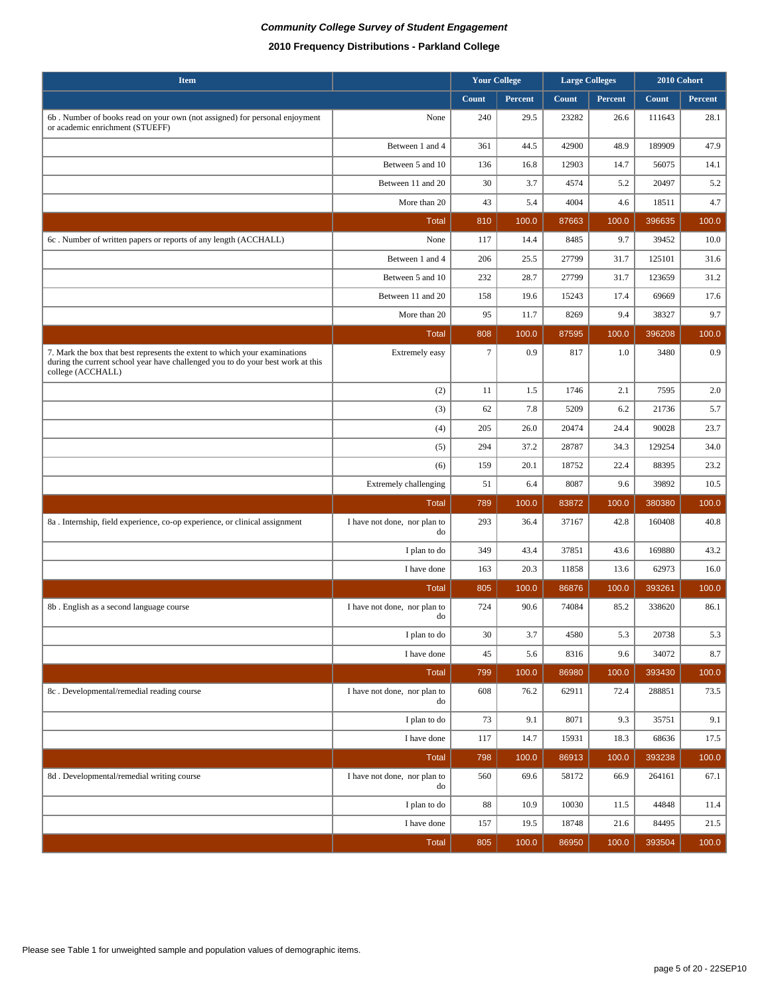| <b>Item</b>                                                                                                                                                                        |                                    | <b>Your College</b> |         | <b>Large Colleges</b> |         |        | 2010 Cohort |  |
|------------------------------------------------------------------------------------------------------------------------------------------------------------------------------------|------------------------------------|---------------------|---------|-----------------------|---------|--------|-------------|--|
|                                                                                                                                                                                    |                                    | Count               | Percent | <b>Count</b>          | Percent | Count  | Percent     |  |
| 6b. Number of books read on your own (not assigned) for personal enjoyment<br>or academic enrichment (STUEFF)                                                                      | None                               | 240                 | 29.5    | 23282                 | 26.6    | 111643 | 28.1        |  |
|                                                                                                                                                                                    | Between 1 and 4                    | 361                 | 44.5    | 42900                 | 48.9    | 189909 | 47.9        |  |
|                                                                                                                                                                                    | Between 5 and 10                   | 136                 | 16.8    | 12903                 | 14.7    | 56075  | 14.1        |  |
|                                                                                                                                                                                    | Between 11 and 20                  | 30                  | 3.7     | 4574                  | 5.2     | 20497  | 5.2         |  |
|                                                                                                                                                                                    | More than 20                       | 43                  | 5.4     | 4004                  | 4.6     | 18511  | 4.7         |  |
|                                                                                                                                                                                    | <b>Total</b>                       | 810                 | 100.0   | 87663                 | 100.0   | 396635 | 100.0       |  |
| 6c. Number of written papers or reports of any length (ACCHALL)                                                                                                                    | None                               | 117                 | 14.4    | 8485                  | 9.7     | 39452  | 10.0        |  |
|                                                                                                                                                                                    | Between 1 and 4                    | 206                 | 25.5    | 27799                 | 31.7    | 125101 | 31.6        |  |
|                                                                                                                                                                                    | Between 5 and 10                   | 232                 | 28.7    | 27799                 | 31.7    | 123659 | 31.2        |  |
|                                                                                                                                                                                    | Between 11 and 20                  | 158                 | 19.6    | 15243                 | 17.4    | 69669  | 17.6        |  |
|                                                                                                                                                                                    | More than 20                       | 95                  | 11.7    | 8269                  | 9.4     | 38327  | 9.7         |  |
|                                                                                                                                                                                    | <b>Total</b>                       | 808                 | 100.0   | 87595                 | 100.0   | 396208 | 100.0       |  |
| 7. Mark the box that best represents the extent to which your examinations<br>during the current school year have challenged you to do your best work at this<br>college (ACCHALL) | Extremely easy                     | $7\phantom{.0}$     | 0.9     | 817                   | 1.0     | 3480   | 0.9         |  |
|                                                                                                                                                                                    | (2)                                | 11                  | 1.5     | 1746                  | 2.1     | 7595   | 2.0         |  |
|                                                                                                                                                                                    | (3)                                | 62                  | 7.8     | 5209                  | 6.2     | 21736  | 5.7         |  |
|                                                                                                                                                                                    | (4)                                | 205                 | 26.0    | 20474                 | 24.4    | 90028  | 23.7        |  |
|                                                                                                                                                                                    | (5)                                | 294                 | 37.2    | 28787                 | 34.3    | 129254 | 34.0        |  |
|                                                                                                                                                                                    | (6)                                | 159                 | 20.1    | 18752                 | 22.4    | 88395  | 23.2        |  |
|                                                                                                                                                                                    | <b>Extremely challenging</b>       | 51                  | 6.4     | 8087                  | 9.6     | 39892  | 10.5        |  |
|                                                                                                                                                                                    | <b>Total</b>                       | 789                 | 100.0   | 83872                 | 100.0   | 380380 | 100.0       |  |
| 8a. Internship, field experience, co-op experience, or clinical assignment                                                                                                         | I have not done, nor plan to<br>do | 293                 | 36.4    | 37167                 | 42.8    | 160408 | 40.8        |  |
|                                                                                                                                                                                    | I plan to do                       | 349                 | 43.4    | 37851                 | 43.6    | 169880 | 43.2        |  |
|                                                                                                                                                                                    | I have done                        | 163                 | 20.3    | 11858                 | 13.6    | 62973  | 16.0        |  |
|                                                                                                                                                                                    | <b>Total</b>                       | 805                 | 100.0   | 86876                 | 100.0   | 393261 | 100.0       |  |
| 8b. English as a second language course                                                                                                                                            | I have not done, nor plan to<br>do | 724                 | 90.6    | 74084                 | 85.2    | 338620 | 86.1        |  |
|                                                                                                                                                                                    | I plan to do                       | $30\,$              | 3.7     | 4580                  | 5.3     | 20738  | $5.3\,$     |  |
|                                                                                                                                                                                    | I have done                        | 45                  | 5.6     | 8316                  | 9.6     | 34072  | 8.7         |  |
|                                                                                                                                                                                    | <b>Total</b>                       | 799                 | 100.0   | 86980                 | 100.0   | 393430 | 100.0       |  |
| 8c. Developmental/remedial reading course                                                                                                                                          | I have not done, nor plan to<br>do | 608                 | 76.2    | 62911                 | 72.4    | 288851 | 73.5        |  |
|                                                                                                                                                                                    | I plan to do                       | 73                  | 9.1     | 8071                  | 9.3     | 35751  | 9.1         |  |
|                                                                                                                                                                                    | I have done                        | 117                 | 14.7    | 15931                 | 18.3    | 68636  | 17.5        |  |
|                                                                                                                                                                                    | Total                              | 798                 | 100.0   | 86913                 | 100.0   | 393238 | 100.0       |  |
| 8d. Developmental/remedial writing course                                                                                                                                          | I have not done, nor plan to<br>do | 560                 | 69.6    | 58172                 | 66.9    | 264161 | 67.1        |  |
|                                                                                                                                                                                    | I plan to do                       | 88                  | 10.9    | 10030                 | 11.5    | 44848  | 11.4        |  |
|                                                                                                                                                                                    | I have done                        | 157                 | 19.5    | 18748                 | 21.6    | 84495  | 21.5        |  |
|                                                                                                                                                                                    | Total                              | 805                 | 100.0   | 86950                 | 100.0   | 393504 | 100.0       |  |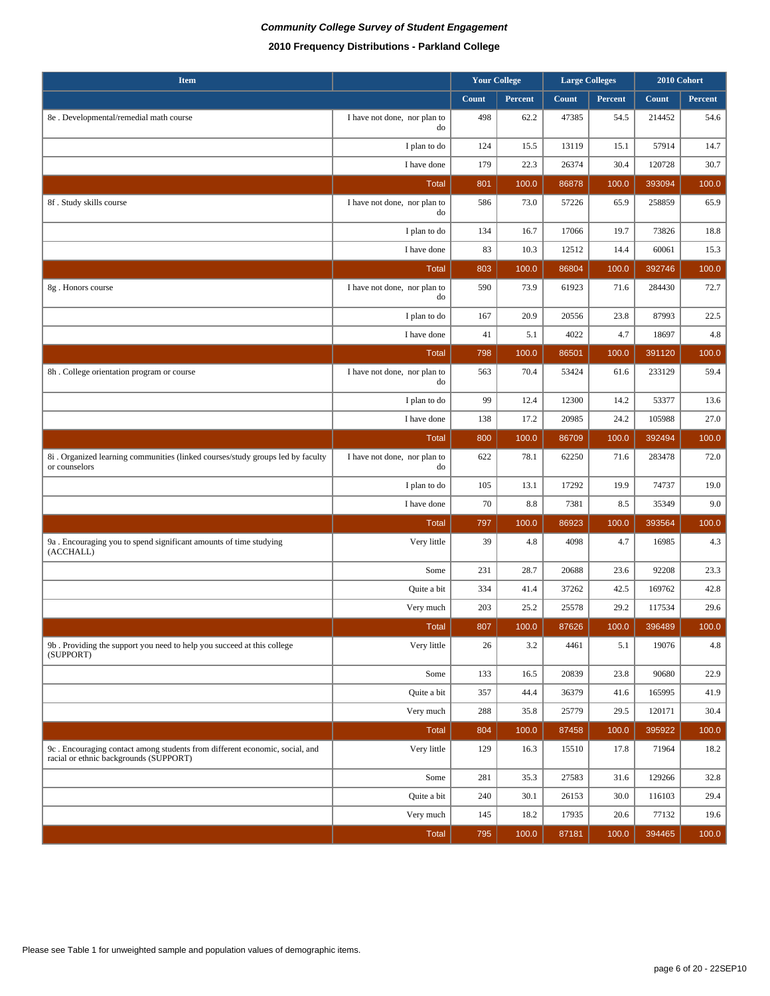## **Community College Survey of Student Engagement 2010 Frequency Distributions - Parkland College**

| <b>Item</b>                                                                                                           |                                    | <b>Your College</b> |         |       | <b>Large Colleges</b> | 2010 Cohort |         |
|-----------------------------------------------------------------------------------------------------------------------|------------------------------------|---------------------|---------|-------|-----------------------|-------------|---------|
|                                                                                                                       |                                    | Count               | Percent | Count | Percent               | Count       | Percent |
| 8e . Developmental/remedial math course                                                                               | I have not done, nor plan to<br>do | 498                 | 62.2    | 47385 | 54.5                  | 214452      | 54.6    |
|                                                                                                                       | I plan to do                       | 124                 | 15.5    | 13119 | 15.1                  | 57914       | 14.7    |
|                                                                                                                       | I have done                        | 179                 | 22.3    | 26374 | 30.4                  | 120728      | 30.7    |
|                                                                                                                       | <b>Total</b>                       | 801                 | 100.0   | 86878 | 100.0                 | 393094      | 100.0   |
| 8f. Study skills course                                                                                               | I have not done, nor plan to<br>do | 586                 | 73.0    | 57226 | 65.9                  | 258859      | 65.9    |
|                                                                                                                       | I plan to do                       | 134                 | 16.7    | 17066 | 19.7                  | 73826       | 18.8    |
|                                                                                                                       | I have done                        | 83                  | 10.3    | 12512 | 14.4                  | 60061       | 15.3    |
|                                                                                                                       | <b>Total</b>                       | 803                 | 100.0   | 86804 | 100.0                 | 392746      | 100.0   |
| 8g. Honors course                                                                                                     | I have not done, nor plan to<br>do | 590                 | 73.9    | 61923 | 71.6                  | 284430      | 72.7    |
|                                                                                                                       | I plan to do                       | 167                 | 20.9    | 20556 | 23.8                  | 87993       | 22.5    |
|                                                                                                                       | I have done                        | 41                  | 5.1     | 4022  | 4.7                   | 18697       | 4.8     |
|                                                                                                                       | <b>Total</b>                       | 798                 | 100.0   | 86501 | 100.0                 | 391120      | 100.0   |
| 8h. College orientation program or course                                                                             | I have not done, nor plan to<br>do | 563                 | 70.4    | 53424 | 61.6                  | 233129      | 59.4    |
|                                                                                                                       | I plan to do                       | 99                  | 12.4    | 12300 | 14.2                  | 53377       | 13.6    |
|                                                                                                                       | I have done                        | 138                 | 17.2    | 20985 | 24.2                  | 105988      | 27.0    |
|                                                                                                                       | <b>Total</b>                       | 800                 | 100.0   | 86709 | 100.0                 | 392494      | 100.0   |
| 8i . Organized learning communities (linked courses/study groups led by faculty<br>or counselors                      | I have not done, nor plan to<br>do | 622                 | 78.1    | 62250 | 71.6                  | 283478      | 72.0    |
|                                                                                                                       | I plan to do                       | 105                 | 13.1    | 17292 | 19.9                  | 74737       | 19.0    |
|                                                                                                                       | I have done                        | 70                  | 8.8     | 7381  | 8.5                   | 35349       | 9.0     |
|                                                                                                                       | <b>Total</b>                       | 797                 | 100.0   | 86923 | 100.0                 | 393564      | 100.0   |
| 9a. Encouraging you to spend significant amounts of time studying<br>(ACCHALL)                                        | Very little                        | 39                  | 4.8     | 4098  | 4.7                   | 16985       | 4.3     |
|                                                                                                                       | Some                               | 231                 | 28.7    | 20688 | 23.6                  | 92208       | 23.3    |
|                                                                                                                       | Quite a bit                        | 334                 | 41.4    | 37262 | 42.5                  | 169762      | 42.8    |
|                                                                                                                       | Very much                          | 203                 | 25.2    | 25578 | 29.2                  | 117534      | 29.6    |
|                                                                                                                       | <b>Total</b>                       | 807                 | 100.0   | 87626 | 100.0                 | 396489      | 100.0   |
| 9b. Providing the support you need to help you succeed at this college<br>(SUPPORT)                                   | Very little                        | 26                  | 3.2     | 4461  | 5.1                   | 19076       | $4.8\,$ |
|                                                                                                                       | Some                               | 133                 | 16.5    | 20839 | 23.8                  | 90680       | 22.9    |
|                                                                                                                       | Quite a bit                        | 357                 | 44.4    | 36379 | 41.6                  | 165995      | 41.9    |
|                                                                                                                       | Very much                          | 288                 | 35.8    | 25779 | 29.5                  | 120171      | 30.4    |
|                                                                                                                       | <b>Total</b>                       | 804                 | 100.0   | 87458 | 100.0                 | 395922      | 100.0   |
| 9c. Encouraging contact among students from different economic, social, and<br>racial or ethnic backgrounds (SUPPORT) | Very little                        | 129                 | 16.3    | 15510 | 17.8                  | 71964       | 18.2    |
|                                                                                                                       | Some                               | 281                 | 35.3    | 27583 | 31.6                  | 129266      | 32.8    |
|                                                                                                                       | Quite a bit                        | 240                 | 30.1    | 26153 | 30.0                  | 116103      | 29.4    |
|                                                                                                                       | Very much                          | 145                 | 18.2    | 17935 | 20.6                  | 77132       | 19.6    |
|                                                                                                                       | <b>Total</b>                       | 795                 | 100.0   | 87181 | 100.0                 | 394465      | 100.0   |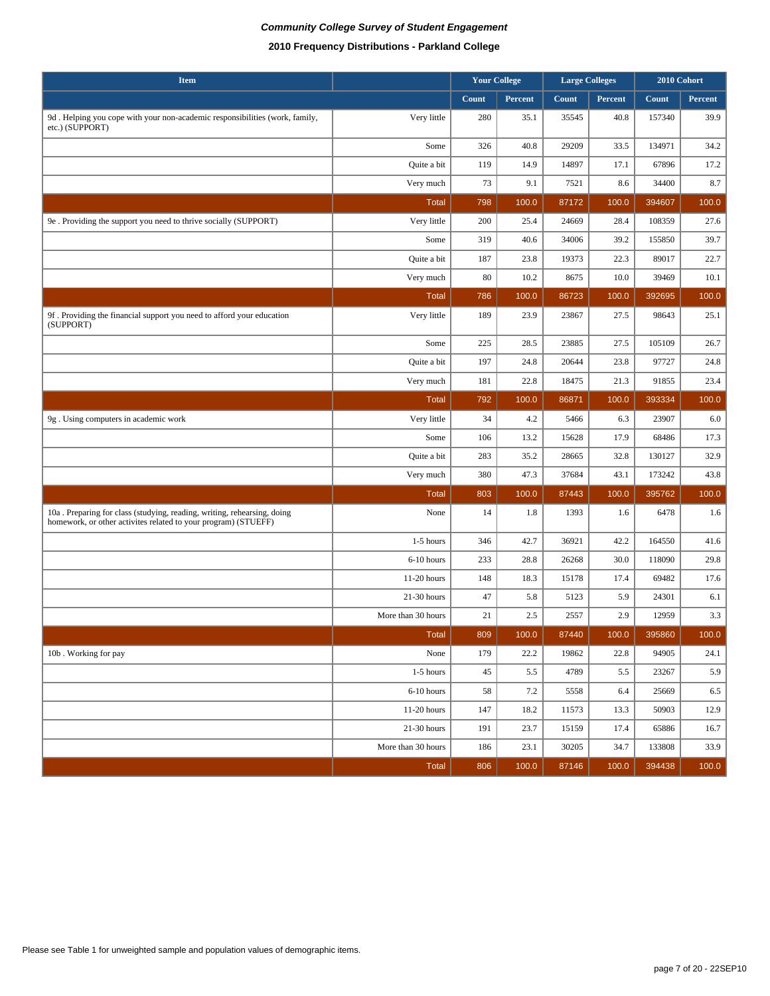| 2010 Frequency Distributions - Parkland College |  |  |  |
|-------------------------------------------------|--|--|--|
|-------------------------------------------------|--|--|--|

| <b>Item</b>                                                                                                                               |                    |        | <b>Your College</b> |       | <b>Large Colleges</b> | 2010 Cohort |         |
|-------------------------------------------------------------------------------------------------------------------------------------------|--------------------|--------|---------------------|-------|-----------------------|-------------|---------|
|                                                                                                                                           |                    | Count  | Percent             | Count | Percent               | Count       | Percent |
| 9d. Helping you cope with your non-academic responsibilities (work, family,<br>etc.) (SUPPORT)                                            | Very little        | 280    | 35.1                | 35545 | 40.8                  | 157340      | 39.9    |
|                                                                                                                                           | Some               | 326    | 40.8                | 29209 | 33.5                  | 134971      | 34.2    |
|                                                                                                                                           | Quite a bit        | 119    | 14.9                | 14897 | 17.1                  | 67896       | 17.2    |
|                                                                                                                                           | Very much          | 73     | 9.1                 | 7521  | 8.6                   | 34400       | 8.7     |
|                                                                                                                                           | <b>Total</b>       | 798    | 100.0               | 87172 | 100.0                 | 394607      | 100.0   |
| 9e. Providing the support you need to thrive socially (SUPPORT)                                                                           | Very little        | 200    | 25.4                | 24669 | 28.4                  | 108359      | 27.6    |
|                                                                                                                                           | Some               | 319    | 40.6                | 34006 | 39.2                  | 155850      | 39.7    |
|                                                                                                                                           | Quite a bit        | 187    | 23.8                | 19373 | 22.3                  | 89017       | 22.7    |
|                                                                                                                                           | Very much          | 80     | 10.2                | 8675  | 10.0                  | 39469       | 10.1    |
|                                                                                                                                           | <b>Total</b>       | 786    | 100.0               | 86723 | 100.0                 | 392695      | 100.0   |
| 9f. Providing the financial support you need to afford your education<br>(SUPPORT)                                                        | Very little        | 189    | 23.9                | 23867 | 27.5                  | 98643       | 25.1    |
|                                                                                                                                           | Some               | 225    | 28.5                | 23885 | 27.5                  | 105109      | 26.7    |
|                                                                                                                                           | Quite a bit        | 197    | 24.8                | 20644 | 23.8                  | 97727       | 24.8    |
|                                                                                                                                           | Very much          | 181    | 22.8                | 18475 | 21.3                  | 91855       | 23.4    |
|                                                                                                                                           | <b>Total</b>       | 792    | 100.0               | 86871 | 100.0                 | 393334      | 100.0   |
| 9g. Using computers in academic work                                                                                                      | Very little        | 34     | 4.2                 | 5466  | 6.3                   | 23907       | 6.0     |
|                                                                                                                                           | Some               | 106    | 13.2                | 15628 | 17.9                  | 68486       | 17.3    |
|                                                                                                                                           | Quite a bit        | 283    | 35.2                | 28665 | 32.8                  | 130127      | 32.9    |
|                                                                                                                                           | Very much          | 380    | 47.3                | 37684 | 43.1                  | 173242      | 43.8    |
|                                                                                                                                           | <b>Total</b>       | 803    | 100.0               | 87443 | 100.0                 | 395762      | 100.0   |
| 10a. Preparing for class (studying, reading, writing, rehearsing, doing<br>homework, or other activites related to your program) (STUEFF) | None               | 14     | 1.8                 | 1393  | 1.6                   | 6478        | 1.6     |
|                                                                                                                                           | 1-5 hours          | 346    | 42.7                | 36921 | 42.2                  | 164550      | 41.6    |
|                                                                                                                                           | 6-10 hours         | 233    | 28.8                | 26268 | 30.0                  | 118090      | 29.8    |
|                                                                                                                                           | 11-20 hours        | 148    | 18.3                | 15178 | 17.4                  | 69482       | 17.6    |
|                                                                                                                                           | 21-30 hours        | 47     | 5.8                 | 5123  | 5.9                   | 24301       | 6.1     |
|                                                                                                                                           | More than 30 hours | 21     | 2.5                 | 2557  | 2.9                   | 12959       | 3.3     |
|                                                                                                                                           | Total              | 809    | 100.0               | 87440 | 100.0                 | 395860      | 100.0   |
| 10b. Working for pay                                                                                                                      | None               | 179    | 22.2                | 19862 | 22.8                  | 94905       | 24.1    |
|                                                                                                                                           | $1-5$ hours        | $45\,$ | 5.5                 | 4789  | 5.5                   | 23267       | 5.9     |
|                                                                                                                                           | 6-10 hours         | 58     | 7.2                 | 5558  | 6.4                   | 25669       | 6.5     |
|                                                                                                                                           | 11-20 hours        | 147    | 18.2                | 11573 | 13.3                  | 50903       | 12.9    |
|                                                                                                                                           | 21-30 hours        | 191    | 23.7                | 15159 | 17.4                  | 65886       | 16.7    |
|                                                                                                                                           | More than 30 hours | 186    | 23.1                | 30205 | 34.7                  | 133808      | 33.9    |
|                                                                                                                                           | Total              | 806    | 100.0               | 87146 | 100.0                 | 394438      | 100.0   |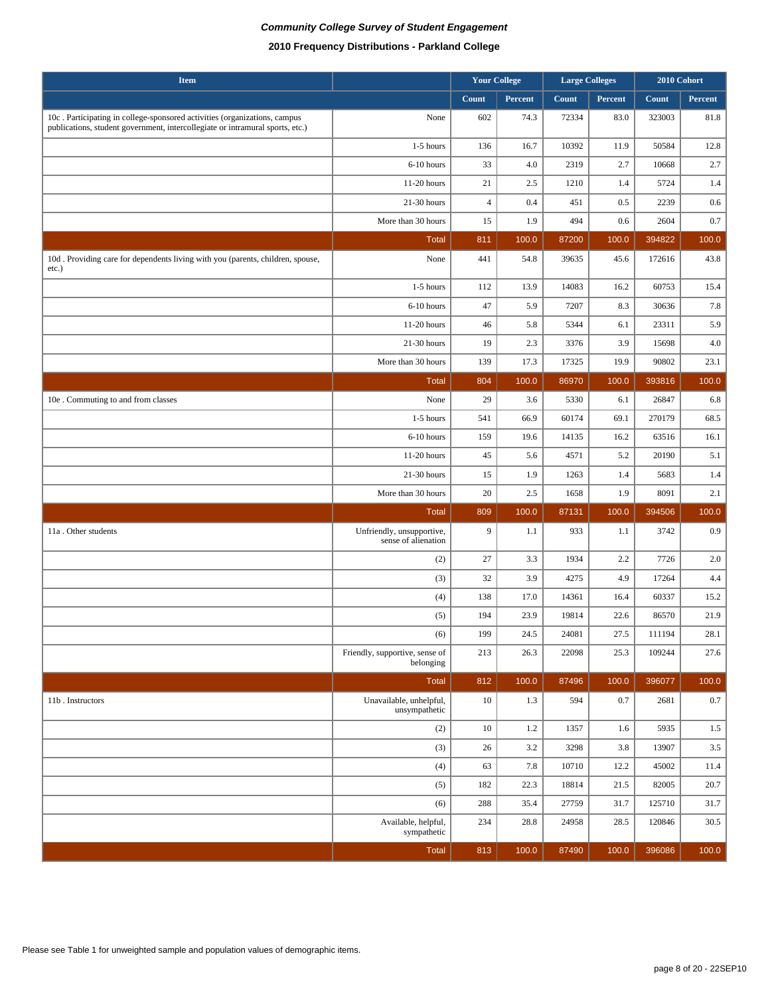| <b>Item</b>                                                                                                                                                |                                                  | <b>Your College</b> |         | <b>Large Colleges</b> |         | 2010 Cohort |          |
|------------------------------------------------------------------------------------------------------------------------------------------------------------|--------------------------------------------------|---------------------|---------|-----------------------|---------|-------------|----------|
|                                                                                                                                                            |                                                  | Count               | Percent | Count                 | Percent | Count       | Percent  |
| 10c. Participating in college-sponsored activities (organizations, campus<br>publications, student government, intercollegiate or intramural sports, etc.) | None                                             | 602                 | 74.3    | 72334                 | 83.0    | 323003      | $81.8\,$ |
|                                                                                                                                                            | $1-5$ hours                                      | 136                 | 16.7    | 10392                 | 11.9    | 50584       | 12.8     |
|                                                                                                                                                            | 6-10 hours                                       | 33                  | 4.0     | 2319                  | 2.7     | 10668       | 2.7      |
|                                                                                                                                                            | 11-20 hours                                      | 21                  | 2.5     | 1210                  | 1.4     | 5724        | 1.4      |
|                                                                                                                                                            | 21-30 hours                                      | $\overline{4}$      | 0.4     | 451                   | 0.5     | 2239        | 0.6      |
|                                                                                                                                                            | More than 30 hours                               | 15                  | 1.9     | 494                   | 0.6     | 2604        | 0.7      |
|                                                                                                                                                            | <b>Total</b>                                     | 811                 | 100.0   | 87200                 | 100.0   | 394822      | 100.0    |
| 10d. Providing care for dependents living with you (parents, children, spouse,<br>etc.)                                                                    | None                                             | 441                 | 54.8    | 39635                 | 45.6    | 172616      | 43.8     |
|                                                                                                                                                            | 1-5 hours                                        | 112                 | 13.9    | 14083                 | 16.2    | 60753       | 15.4     |
|                                                                                                                                                            | 6-10 hours                                       | 47                  | 5.9     | 7207                  | 8.3     | 30636       | 7.8      |
|                                                                                                                                                            | 11-20 hours                                      | 46                  | 5.8     | 5344                  | 6.1     | 23311       | 5.9      |
|                                                                                                                                                            | 21-30 hours                                      | 19                  | 2.3     | 3376                  | 3.9     | 15698       | 4.0      |
|                                                                                                                                                            | More than 30 hours                               | 139                 | 17.3    | 17325                 | 19.9    | 90802       | 23.1     |
|                                                                                                                                                            | <b>Total</b>                                     | 804                 | 100.0   | 86970                 | 100.0   | 393816      | 100.0    |
| 10e . Commuting to and from classes                                                                                                                        | None                                             | 29                  | 3.6     | 5330                  | 6.1     | 26847       | 6.8      |
|                                                                                                                                                            | 1-5 hours                                        | 541                 | 66.9    | 60174                 | 69.1    | 270179      | 68.5     |
|                                                                                                                                                            | 6-10 hours                                       | 159                 | 19.6    | 14135                 | 16.2    | 63516       | 16.1     |
|                                                                                                                                                            | 11-20 hours                                      | 45                  | 5.6     | 4571                  | 5.2     | 20190       | 5.1      |
|                                                                                                                                                            | 21-30 hours                                      | 15                  | 1.9     | 1263                  | 1.4     | 5683        | 1.4      |
|                                                                                                                                                            | More than 30 hours                               | 20                  | 2.5     | 1658                  | 1.9     | 8091        | 2.1      |
|                                                                                                                                                            | <b>Total</b>                                     | 809                 | 100.0   | 87131                 | 100.0   | 394506      | 100.0    |
| 11a. Other students                                                                                                                                        | Unfriendly, unsupportive,<br>sense of alienation | 9                   | 1.1     | 933                   | 1.1     | 3742        | 0.9      |
|                                                                                                                                                            | (2)                                              | 27                  | 3.3     | 1934                  | 2.2     | 7726        | 2.0      |
|                                                                                                                                                            | (3)                                              | 32                  | 3.9     | 4275                  | 4.9     | 17264       | 4.4      |
|                                                                                                                                                            | (4)                                              | 138                 | 17.0    | 14361                 | 16.4    | 60337       | 15.2     |
|                                                                                                                                                            | (5)                                              | 194                 | 23.9    | 19814                 | 22.6    | 86570       | 21.9     |
|                                                                                                                                                            | (6)                                              | 199                 | 24.5    | 24081                 | 27.5    | 111194      | $28.1\,$ |
|                                                                                                                                                            | Friendly, supportive, sense of<br>belonging      | 213                 | 26.3    | 22098                 | 25.3    | 109244      | 27.6     |
|                                                                                                                                                            | Total                                            | 812                 | 100.0   | 87496                 | 100.0   | 396077      | 100.0    |
| 11b. Instructors                                                                                                                                           | Unavailable, unhelpful,<br>unsympathetic         | $10\,$              | 1.3     | 594                   | 0.7     | 2681        | $0.7\,$  |
|                                                                                                                                                            | (2)                                              | 10                  | 1.2     | 1357                  | 1.6     | 5935        | 1.5      |
|                                                                                                                                                            | (3)                                              | 26                  | 3.2     | 3298                  | 3.8     | 13907       | $3.5\,$  |
|                                                                                                                                                            | (4)                                              | 63                  | 7.8     | 10710                 | 12.2    | 45002       | 11.4     |
|                                                                                                                                                            | (5)                                              | 182                 | 22.3    | 18814                 | 21.5    | 82005       | 20.7     |
|                                                                                                                                                            | (6)                                              | 288                 | 35.4    | 27759                 | 31.7    | 125710      | 31.7     |
|                                                                                                                                                            | Available, helpful,<br>sympathetic               | 234                 | 28.8    | 24958                 | 28.5    | 120846      | 30.5     |
|                                                                                                                                                            | Total                                            | 813                 | 100.0   | 87490                 | 100.0   | 396086      | 100.0    |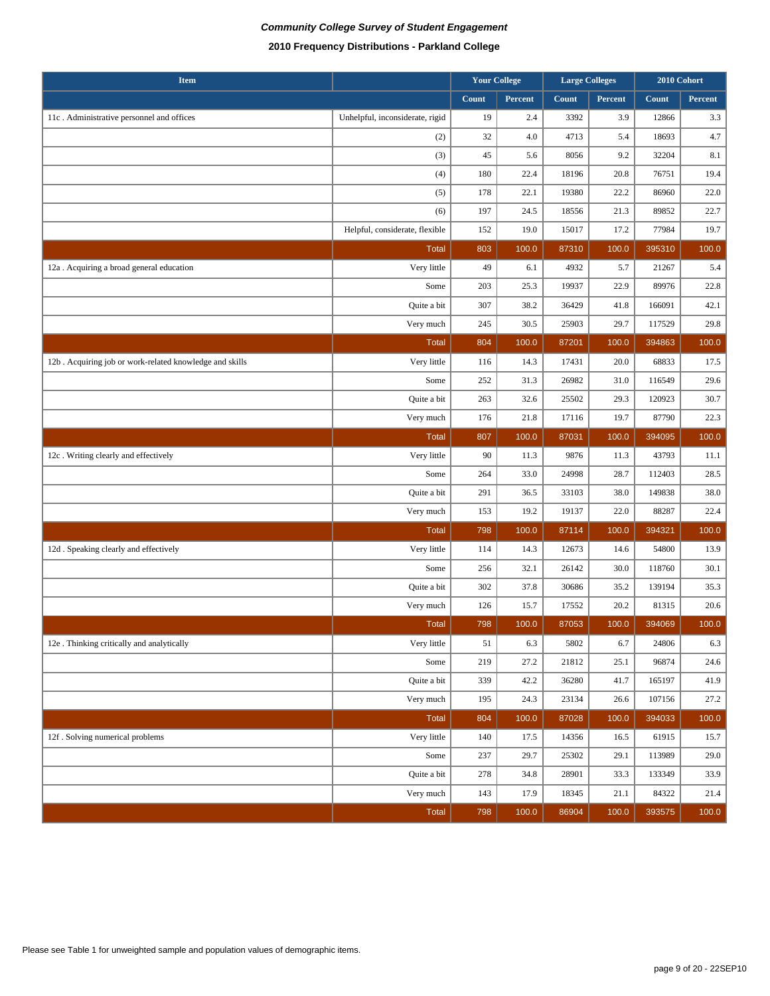| <b>Item</b>                                             |                                 |       | <b>Your College</b> | <b>Large Colleges</b> |         | 2010 Cohort |         |
|---------------------------------------------------------|---------------------------------|-------|---------------------|-----------------------|---------|-------------|---------|
|                                                         |                                 | Count | Percent             | Count                 | Percent | Count       | Percent |
| 11c. Administrative personnel and offices               | Unhelpful, inconsiderate, rigid | 19    | 2.4                 | 3392                  | 3.9     | 12866       | 3.3     |
|                                                         | (2)                             | 32    | 4.0                 | 4713                  | 5.4     | 18693       | 4.7     |
|                                                         | (3)                             | 45    | 5.6                 | 8056                  | 9.2     | 32204       | 8.1     |
|                                                         | (4)                             | 180   | 22.4                | 18196                 | 20.8    | 76751       | 19.4    |
|                                                         | (5)                             | 178   | 22.1                | 19380                 | 22.2    | 86960       | 22.0    |
|                                                         | (6)                             | 197   | 24.5                | 18556                 | 21.3    | 89852       | 22.7    |
|                                                         | Helpful, considerate, flexible  | 152   | 19.0                | 15017                 | 17.2    | 77984       | 19.7    |
|                                                         | <b>Total</b>                    | 803   | 100.0               | 87310                 | 100.0   | 395310      | 100.0   |
| 12a . Acquiring a broad general education               | Very little                     | 49    | 6.1                 | 4932                  | 5.7     | 21267       | 5.4     |
|                                                         | Some                            | 203   | 25.3                | 19937                 | 22.9    | 89976       | 22.8    |
|                                                         | Quite a bit                     | 307   | 38.2                | 36429                 | 41.8    | 166091      | 42.1    |
|                                                         | Very much                       | 245   | 30.5                | 25903                 | 29.7    | 117529      | 29.8    |
|                                                         | <b>Total</b>                    | 804   | 100.0               | 87201                 | 100.0   | 394863      | 100.0   |
| 12b. Acquiring job or work-related knowledge and skills | Very little                     | 116   | 14.3                | 17431                 | 20.0    | 68833       | 17.5    |
|                                                         | Some                            | 252   | 31.3                | 26982                 | 31.0    | 116549      | 29.6    |
|                                                         | Quite a bit                     | 263   | 32.6                | 25502                 | 29.3    | 120923      | 30.7    |
|                                                         | Very much                       | 176   | 21.8                | 17116                 | 19.7    | 87790       | 22.3    |
|                                                         | <b>Total</b>                    | 807   | 100.0               | 87031                 | 100.0   | 394095      | 100.0   |
| 12c. Writing clearly and effectively                    | Very little                     | 90    | 11.3                | 9876                  | 11.3    | 43793       | 11.1    |
|                                                         | Some                            | 264   | 33.0                | 24998                 | 28.7    | 112403      | 28.5    |
|                                                         | Quite a bit                     | 291   | 36.5                | 33103                 | 38.0    | 149838      | 38.0    |
|                                                         | Very much                       | 153   | 19.2                | 19137                 | 22.0    | 88287       | 22.4    |
|                                                         | <b>Total</b>                    | 798   | 100.0               | 87114                 | 100.0   | 394321      | 100.0   |
| 12d. Speaking clearly and effectively                   | Very little                     | 114   | 14.3                | 12673                 | 14.6    | 54800       | 13.9    |
|                                                         | Some                            | 256   | 32.1                | 26142                 | 30.0    | 118760      | 30.1    |
|                                                         | Quite a bit                     | 302   | 37.8                | 30686                 | 35.2    | 139194      | 35.3    |
|                                                         | Very much                       | 126   | 15.7                | 17552                 | 20.2    | 81315       | 20.6    |
|                                                         | <b>Total</b>                    | 798   | 100.0               | 87053                 | 100.0   | 394069      | 100.0   |
| 12e . Thinking critically and analytically              | Very little                     | 51    | 6.3                 | 5802                  | 6.7     | 24806       | 6.3     |
|                                                         | Some                            | 219   | 27.2                | 21812                 | 25.1    | 96874       | 24.6    |
|                                                         | Quite a bit                     | 339   | 42.2                | 36280                 | 41.7    | 165197      | 41.9    |
|                                                         | Very much                       | 195   | 24.3                | 23134                 | 26.6    | 107156      | 27.2    |
|                                                         | Total                           | 804   | 100.0               | 87028                 | 100.0   | 394033      | 100.0   |
| 12f . Solving numerical problems                        | Very little                     | 140   | 17.5                | 14356                 | 16.5    | 61915       | 15.7    |
|                                                         | Some                            | 237   | 29.7                | 25302                 | 29.1    | 113989      | 29.0    |
|                                                         | Quite a bit                     | 278   | 34.8                | 28901                 | 33.3    | 133349      | 33.9    |
|                                                         | Very much                       | 143   | 17.9                | 18345                 | 21.1    | 84322       | 21.4    |
|                                                         | Total                           | 798   | 100.0               | 86904                 | 100.0   | 393575      | 100.0   |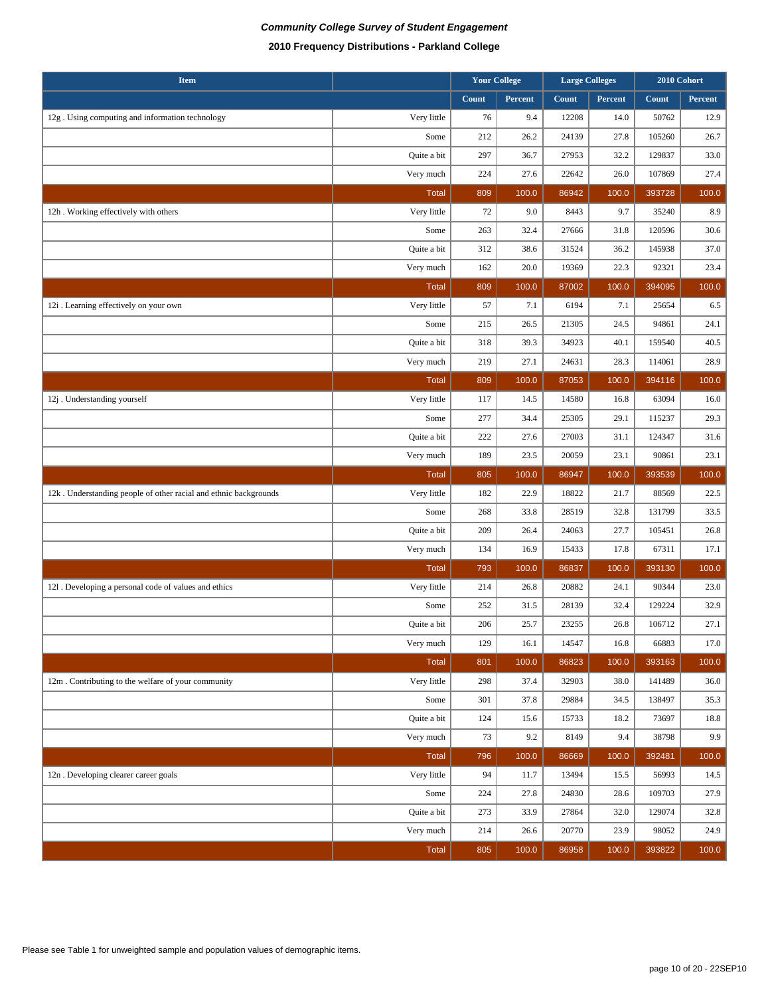| <b>Item</b>                                                      |              |       | <b>Your College</b> |       | <b>Large Colleges</b> |        | 2010 Cohort |
|------------------------------------------------------------------|--------------|-------|---------------------|-------|-----------------------|--------|-------------|
|                                                                  |              | Count | Percent             | Count | Percent               | Count  | Percent     |
| 12g. Using computing and information technology                  | Very little  | 76    | 9.4                 | 12208 | 14.0                  | 50762  | 12.9        |
|                                                                  | Some         | 212   | 26.2                | 24139 | 27.8                  | 105260 | 26.7        |
|                                                                  | Quite a bit  | 297   | 36.7                | 27953 | 32.2                  | 129837 | 33.0        |
|                                                                  | Very much    | 224   | 27.6                | 22642 | 26.0                  | 107869 | 27.4        |
|                                                                  | <b>Total</b> | 809   | 100.0               | 86942 | 100.0                 | 393728 | 100.0       |
| 12h. Working effectively with others                             | Very little  | 72    | 9.0                 | 8443  | 9.7                   | 35240  | 8.9         |
|                                                                  | Some         | 263   | 32.4                | 27666 | 31.8                  | 120596 | 30.6        |
|                                                                  | Quite a bit  | 312   | 38.6                | 31524 | 36.2                  | 145938 | 37.0        |
|                                                                  | Very much    | 162   | 20.0                | 19369 | 22.3                  | 92321  | 23.4        |
|                                                                  | <b>Total</b> | 809   | 100.0               | 87002 | 100.0                 | 394095 | 100.0       |
| 12i . Learning effectively on your own                           | Very little  | 57    | 7.1                 | 6194  | 7.1                   | 25654  | 6.5         |
|                                                                  | Some         | 215   | 26.5                | 21305 | 24.5                  | 94861  | 24.1        |
|                                                                  | Quite a bit  | 318   | 39.3                | 34923 | 40.1                  | 159540 | 40.5        |
|                                                                  | Very much    | 219   | 27.1                | 24631 | 28.3                  | 114061 | 28.9        |
|                                                                  | <b>Total</b> | 809   | 100.0               | 87053 | 100.0                 | 394116 | 100.0       |
| 12j. Understanding yourself                                      | Very little  | 117   | 14.5                | 14580 | 16.8                  | 63094  | 16.0        |
|                                                                  | Some         | 277   | 34.4                | 25305 | 29.1                  | 115237 | 29.3        |
|                                                                  | Quite a bit  | 222   | 27.6                | 27003 | 31.1                  | 124347 | 31.6        |
|                                                                  | Very much    | 189   | 23.5                | 20059 | 23.1                  | 90861  | 23.1        |
|                                                                  | <b>Total</b> | 805   | 100.0               | 86947 | 100.0                 | 393539 | 100.0       |
| 12k. Understanding people of other racial and ethnic backgrounds | Very little  | 182   | 22.9                | 18822 | 21.7                  | 88569  | 22.5        |
|                                                                  | Some         | 268   | 33.8                | 28519 | 32.8                  | 131799 | 33.5        |
|                                                                  | Quite a bit  | 209   | 26.4                | 24063 | 27.7                  | 105451 | 26.8        |
|                                                                  | Very much    | 134   | 16.9                | 15433 | 17.8                  | 67311  | 17.1        |
|                                                                  | <b>Total</b> | 793   | 100.0               | 86837 | 100.0                 | 393130 | 100.0       |
| 121. Developing a personal code of values and ethics             | Very little  | 214   | 26.8                | 20882 | 24.1                  | 90344  | 23.0        |
|                                                                  | Some         | 252   | 31.5                | 28139 | 32.4                  | 129224 | 32.9        |
|                                                                  | Quite a bit  | 206   | 25.7                | 23255 | 26.8                  | 106712 | 27.1        |
|                                                                  | Very much    | 129   | 16.1                | 14547 | 16.8                  | 66883  | 17.0        |
|                                                                  | <b>Total</b> | 801   | 100.0               | 86823 | 100.0                 | 393163 | 100.0       |
| 12m . Contributing to the welfare of your community              | Very little  | 298   | 37.4                | 32903 | 38.0                  | 141489 | 36.0        |
|                                                                  | Some         | 301   | 37.8                | 29884 | 34.5                  | 138497 | 35.3        |
|                                                                  | Quite a bit  | 124   | 15.6                | 15733 | 18.2                  | 73697  | 18.8        |
|                                                                  | Very much    | 73    | 9.2                 | 8149  | 9.4                   | 38798  | 9.9         |
|                                                                  | <b>Total</b> | 796   | 100.0               | 86669 | 100.0                 | 392481 | 100.0       |
| 12n. Developing clearer career goals                             | Very little  | 94    | 11.7                | 13494 | 15.5                  | 56993  | 14.5        |
|                                                                  | Some         | 224   | 27.8                | 24830 | 28.6                  | 109703 | 27.9        |
|                                                                  | Quite a bit  | 273   | 33.9                | 27864 | 32.0                  | 129074 | 32.8        |
|                                                                  | Very much    | 214   | 26.6                | 20770 | 23.9                  | 98052  | 24.9        |
|                                                                  | Total        | 805   | 100.0               | 86958 | 100.0                 | 393822 | 100.0       |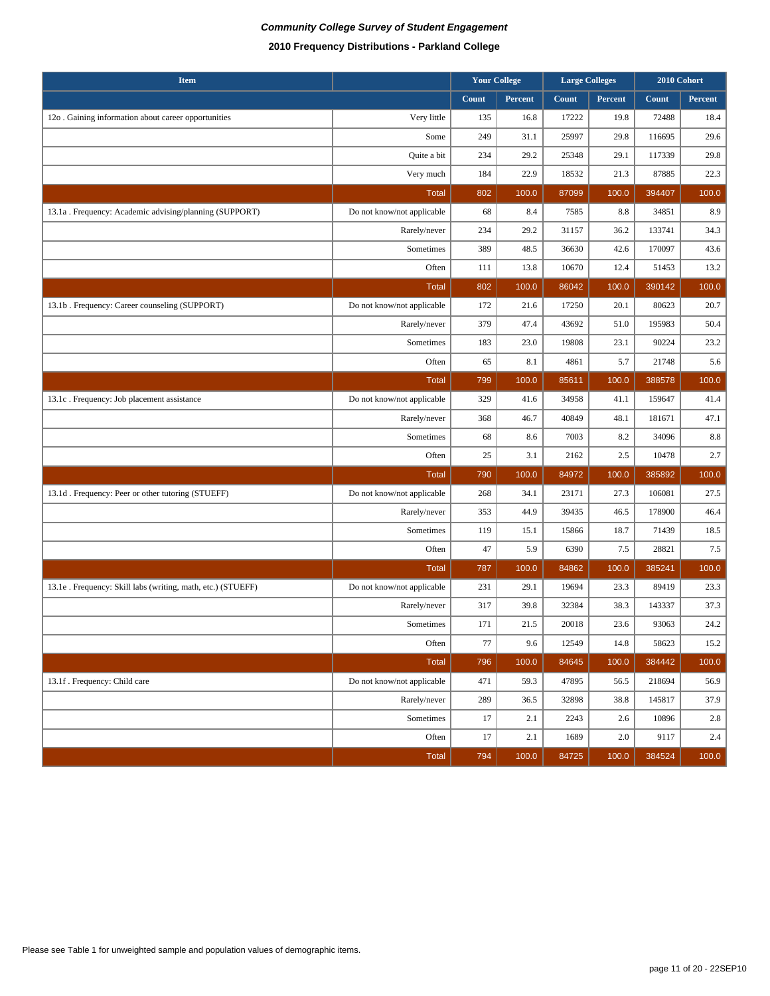| <b>Item</b>                                                  |                            |       | <b>Your College</b> | <b>Large Colleges</b> |         |        | 2010 Cohort |
|--------------------------------------------------------------|----------------------------|-------|---------------------|-----------------------|---------|--------|-------------|
|                                                              |                            | Count | Percent             | Count                 | Percent | Count  | Percent     |
| 12o . Gaining information about career opportunities         | Very little                | 135   | 16.8                | 17222                 | 19.8    | 72488  | 18.4        |
|                                                              | Some                       | 249   | 31.1                | 25997                 | 29.8    | 116695 | 29.6        |
|                                                              | Quite a bit                | 234   | 29.2                | 25348                 | 29.1    | 117339 | 29.8        |
|                                                              | Very much                  | 184   | 22.9                | 18532                 | 21.3    | 87885  | 22.3        |
|                                                              | <b>Total</b>               | 802   | 100.0               | 87099                 | 100.0   | 394407 | 100.0       |
| 13.1a . Frequency: Academic advising/planning (SUPPORT)      | Do not know/not applicable | 68    | 8.4                 | 7585                  | 8.8     | 34851  | 8.9         |
|                                                              | Rarely/never               | 234   | 29.2                | 31157                 | 36.2    | 133741 | 34.3        |
|                                                              | Sometimes                  | 389   | 48.5                | 36630                 | 42.6    | 170097 | 43.6        |
|                                                              | Often                      | 111   | 13.8                | 10670                 | 12.4    | 51453  | 13.2        |
|                                                              | <b>Total</b>               | 802   | 100.0               | 86042                 | 100.0   | 390142 | 100.0       |
| 13.1b . Frequency: Career counseling (SUPPORT)               | Do not know/not applicable | 172   | 21.6                | 17250                 | 20.1    | 80623  | 20.7        |
|                                                              | Rarely/never               | 379   | 47.4                | 43692                 | 51.0    | 195983 | 50.4        |
|                                                              | Sometimes                  | 183   | 23.0                | 19808                 | 23.1    | 90224  | 23.2        |
|                                                              | Often                      | 65    | 8.1                 | 4861                  | 5.7     | 21748  | 5.6         |
|                                                              | <b>Total</b>               | 799   | 100.0               | 85611                 | 100.0   | 388578 | 100.0       |
| 13.1c. Frequency: Job placement assistance                   | Do not know/not applicable | 329   | 41.6                | 34958                 | 41.1    | 159647 | 41.4        |
|                                                              | Rarely/never               | 368   | 46.7                | 40849                 | 48.1    | 181671 | 47.1        |
|                                                              | Sometimes                  | 68    | 8.6                 | 7003                  | 8.2     | 34096  | $8.8\,$     |
|                                                              | Often                      | 25    | 3.1                 | 2162                  | 2.5     | 10478  | 2.7         |
|                                                              | <b>Total</b>               | 790   | 100.0               | 84972                 | 100.0   | 385892 | 100.0       |
| 13.1d. Frequency: Peer or other tutoring (STUEFF)            | Do not know/not applicable | 268   | 34.1                | 23171                 | 27.3    | 106081 | 27.5        |
|                                                              | Rarely/never               | 353   | 44.9                | 39435                 | 46.5    | 178900 | 46.4        |
|                                                              | Sometimes                  | 119   | 15.1                | 15866                 | 18.7    | 71439  | 18.5        |
|                                                              | Often                      | 47    | 5.9                 | 6390                  | 7.5     | 28821  | 7.5         |
|                                                              | <b>Total</b>               | 787   | 100.0               | 84862                 | 100.0   | 385241 | 100.0       |
| 13.1e . Frequency: Skill labs (writing, math, etc.) (STUEFF) | Do not know/not applicable | 231   | 29.1                | 19694                 | 23.3    | 89419  | 23.3        |
|                                                              | Rarely/never               | 317   | 39.8                | 32384                 | 38.3    | 143337 | 37.3        |
|                                                              | Sometimes                  | 171   | 21.5                | 20018                 | 23.6    | 93063  | 24.2        |
|                                                              | Often                      | 77    | 9.6                 | 12549                 | 14.8    | 58623  | 15.2        |
|                                                              | <b>Total</b>               | 796   | 100.0               | 84645                 | 100.0   | 384442 | 100.0       |
| 13.1f. Frequency: Child care                                 | Do not know/not applicable | 471   | 59.3                | 47895                 | 56.5    | 218694 | 56.9        |
|                                                              | Rarely/never               | 289   | 36.5                | 32898                 | 38.8    | 145817 | 37.9        |
|                                                              | Sometimes                  | 17    | 2.1                 | 2243                  | 2.6     | 10896  | 2.8         |
|                                                              | Often                      | 17    | 2.1                 | 1689                  | 2.0     | 9117   | 2.4         |
|                                                              | <b>Total</b>               | 794   | 100.0               | 84725                 | 100.0   | 384524 | 100.0       |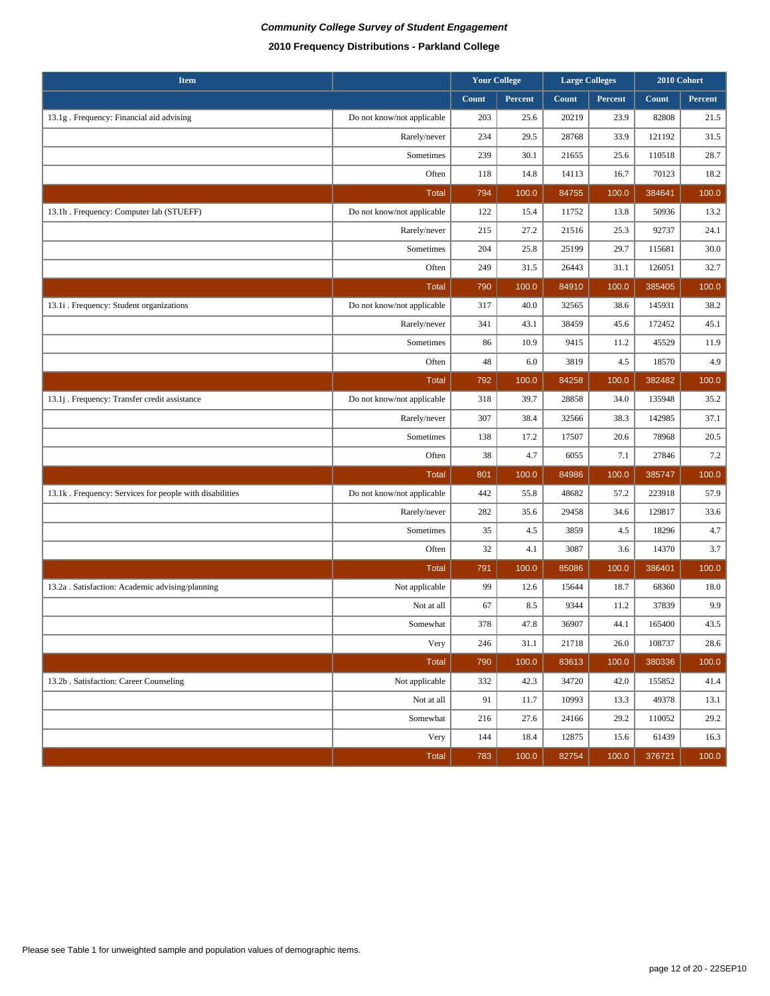| <b>Item</b>                                             |                            |       | <b>Your College</b> |       | <b>Large Colleges</b> |        | 2010 Cohort |
|---------------------------------------------------------|----------------------------|-------|---------------------|-------|-----------------------|--------|-------------|
|                                                         |                            | Count | Percent             | Count | Percent               | Count  | Percent     |
| 13.1g . Frequency: Financial aid advising               | Do not know/not applicable | 203   | 25.6                | 20219 | 23.9                  | 82808  | 21.5        |
|                                                         | Rarely/never               | 234   | 29.5                | 28768 | 33.9                  | 121192 | 31.5        |
|                                                         | Sometimes                  | 239   | 30.1                | 21655 | 25.6                  | 110518 | 28.7        |
|                                                         | Often                      | 118   | 14.8                | 14113 | 16.7                  | 70123  | 18.2        |
|                                                         | <b>Total</b>               | 794   | 100.0               | 84755 | 100.0                 | 384641 | 100.0       |
| 13.1h . Frequency: Computer lab (STUEFF)                | Do not know/not applicable | 122   | 15.4                | 11752 | 13.8                  | 50936  | 13.2        |
|                                                         | Rarely/never               | 215   | 27.2                | 21516 | 25.3                  | 92737  | 24.1        |
|                                                         | Sometimes                  | 204   | 25.8                | 25199 | 29.7                  | 115681 | 30.0        |
|                                                         | Often                      | 249   | 31.5                | 26443 | 31.1                  | 126051 | 32.7        |
|                                                         | <b>Total</b>               | 790   | 100.0               | 84910 | 100.0                 | 385405 | 100.0       |
| 13.1i . Frequency: Student organizations                | Do not know/not applicable | 317   | 40.0                | 32565 | 38.6                  | 145931 | 38.2        |
|                                                         | Rarely/never               | 341   | 43.1                | 38459 | 45.6                  | 172452 | 45.1        |
|                                                         | Sometimes                  | 86    | 10.9                | 9415  | 11.2                  | 45529  | 11.9        |
|                                                         | Often                      | 48    | 6.0                 | 3819  | 4.5                   | 18570  | 4.9         |
|                                                         | <b>Total</b>               | 792   | 100.0               | 84258 | 100.0                 | 382482 | 100.0       |
| 13.1j . Frequency: Transfer credit assistance           | Do not know/not applicable | 318   | 39.7                | 28858 | 34.0                  | 135948 | 35.2        |
|                                                         | Rarely/never               | 307   | 38.4                | 32566 | 38.3                  | 142985 | 37.1        |
|                                                         | Sometimes                  | 138   | 17.2                | 17507 | 20.6                  | 78968  | 20.5        |
|                                                         | Often                      | 38    | 4.7                 | 6055  | 7.1                   | 27846  | $7.2\,$     |
|                                                         | Total                      | 801   | 100.0               | 84986 | 100.0                 | 385747 | 100.0       |
| 13.1k. Frequency: Services for people with disabilities | Do not know/not applicable | 442   | 55.8                | 48682 | 57.2                  | 223918 | 57.9        |
|                                                         | Rarely/never               | 282   | 35.6                | 29458 | 34.6                  | 129817 | 33.6        |
|                                                         | Sometimes                  | 35    | 4.5                 | 3859  | 4.5                   | 18296  | 4.7         |
|                                                         | Often                      | 32    | 4.1                 | 3087  | 3.6                   | 14370  | 3.7         |
|                                                         | <b>Total</b>               | 791   | 100.0               | 85086 | 100.0                 | 386401 | 100.0       |
| 13.2a . Satisfaction: Academic advising/planning        | Not applicable             | 99    | 12.6                | 15644 | 18.7                  | 68360  | 18.0        |
|                                                         | Not at all                 | 67    | 8.5                 | 9344  | 11.2                  | 37839  | 9.9         |
|                                                         | Somewhat                   | 378   | 47.8                | 36907 | 44.1                  | 165400 | 43.5        |
|                                                         | Very                       | 246   | 31.1                | 21718 | 26.0                  | 108737 | 28.6        |
|                                                         | Total                      | 790   | 100.0               | 83613 | 100.0                 | 380336 | 100.0       |
| 13.2b . Satisfaction: Career Counseling                 | Not applicable             | 332   | 42.3                | 34720 | 42.0                  | 155852 | 41.4        |
|                                                         | Not at all                 | 91    | 11.7                | 10993 | 13.3                  | 49378  | 13.1        |
|                                                         | Somewhat                   | 216   | 27.6                | 24166 | 29.2                  | 110052 | 29.2        |
|                                                         | Very                       | 144   | 18.4                | 12875 | 15.6                  | 61439  | 16.3        |
|                                                         | Total                      | 783   | 100.0               | 82754 | 100.0                 | 376721 | 100.0       |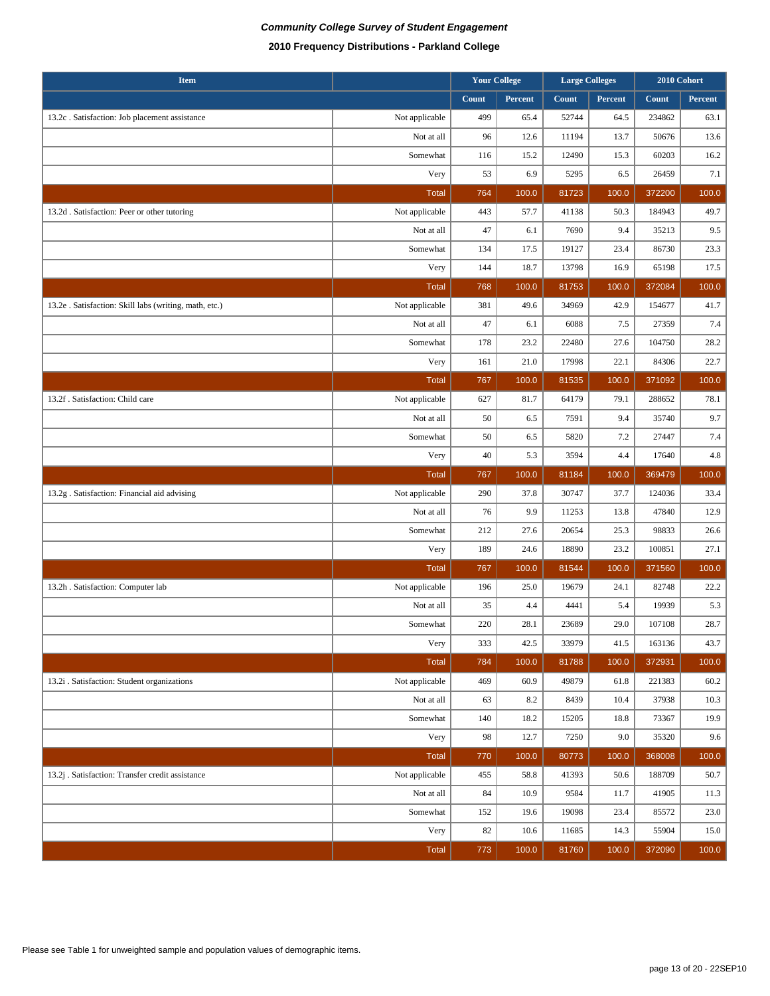| <b>Item</b>                                            |                |       | <b>Your College</b><br><b>Large Colleges</b> |       | 2010 Cohort |        |         |
|--------------------------------------------------------|----------------|-------|----------------------------------------------|-------|-------------|--------|---------|
|                                                        |                | Count | Percent                                      | Count | Percent     | Count  | Percent |
| 13.2c. Satisfaction: Job placement assistance          | Not applicable | 499   | 65.4                                         | 52744 | 64.5        | 234862 | 63.1    |
|                                                        | Not at all     | 96    | 12.6                                         | 11194 | 13.7        | 50676  | 13.6    |
|                                                        | Somewhat       | 116   | 15.2                                         | 12490 | 15.3        | 60203  | 16.2    |
|                                                        | Very           | 53    | 6.9                                          | 5295  | 6.5         | 26459  | 7.1     |
|                                                        | <b>Total</b>   | 764   | 100.0                                        | 81723 | 100.0       | 372200 | 100.0   |
| 13.2d . Satisfaction: Peer or other tutoring           | Not applicable | 443   | 57.7                                         | 41138 | 50.3        | 184943 | 49.7    |
|                                                        | Not at all     | 47    | 6.1                                          | 7690  | 9.4         | 35213  | 9.5     |
|                                                        | Somewhat       | 134   | 17.5                                         | 19127 | 23.4        | 86730  | 23.3    |
|                                                        | Very           | 144   | 18.7                                         | 13798 | 16.9        | 65198  | 17.5    |
|                                                        | <b>Total</b>   | 768   | 100.0                                        | 81753 | 100.0       | 372084 | 100.0   |
| 13.2e . Satisfaction: Skill labs (writing, math, etc.) | Not applicable | 381   | 49.6                                         | 34969 | 42.9        | 154677 | 41.7    |
|                                                        | Not at all     | 47    | 6.1                                          | 6088  | 7.5         | 27359  | 7.4     |
|                                                        | Somewhat       | 178   | 23.2                                         | 22480 | 27.6        | 104750 | 28.2    |
|                                                        | Very           | 161   | 21.0                                         | 17998 | 22.1        | 84306  | 22.7    |
|                                                        | <b>Total</b>   | 767   | 100.0                                        | 81535 | 100.0       | 371092 | 100.0   |
| 13.2f . Satisfaction: Child care                       | Not applicable | 627   | 81.7                                         | 64179 | 79.1        | 288652 | 78.1    |
|                                                        | Not at all     | 50    | 6.5                                          | 7591  | 9.4         | 35740  | 9.7     |
|                                                        | Somewhat       | 50    | 6.5                                          | 5820  | 7.2         | 27447  | 7.4     |
|                                                        | Very           | 40    | 5.3                                          | 3594  | 4.4         | 17640  | 4.8     |
|                                                        | <b>Total</b>   | 767   | 100.0                                        | 81184 | 100.0       | 369479 | 100.0   |
| 13.2g . Satisfaction: Financial aid advising           | Not applicable | 290   | 37.8                                         | 30747 | 37.7        | 124036 | 33.4    |
|                                                        |                |       |                                              |       |             |        |         |
|                                                        | Not at all     | 76    | 9.9                                          | 11253 | 13.8        | 47840  | 12.9    |
|                                                        | Somewhat       | 212   | 27.6                                         | 20654 | 25.3        | 98833  | 26.6    |
|                                                        | Very           | 189   | 24.6                                         | 18890 | 23.2        | 100851 | 27.1    |
|                                                        | <b>Total</b>   | 767   | 100.0                                        | 81544 | 100.0       | 371560 | 100.0   |
| 13.2h . Satisfaction: Computer lab                     | Not applicable | 196   | 25.0                                         | 19679 | 24.1        | 82748  | 22.2    |
|                                                        | Not at all     | 35    | 4.4                                          | 4441  | 5.4         | 19939  | 5.3     |
|                                                        | Somewhat       | 220   | 28.1                                         | 23689 | 29.0        | 107108 | 28.7    |
|                                                        | Very           | 333   | 42.5                                         | 33979 | 41.5        | 163136 | 43.7    |
|                                                        | <b>Total</b>   | 784   | 100.0                                        | 81788 | 100.0       | 372931 | 100.0   |
| 13.2i . Satisfaction: Student organizations            | Not applicable | 469   | 60.9                                         | 49879 | 61.8        | 221383 | 60.2    |
|                                                        | Not at all     | 63    | 8.2                                          | 8439  | 10.4        | 37938  | 10.3    |
|                                                        | Somewhat       | 140   | 18.2                                         | 15205 | 18.8        | 73367  | 19.9    |
|                                                        | Very           | 98    | 12.7                                         | 7250  | 9.0         | 35320  | 9.6     |
|                                                        | <b>Total</b>   | 770   | 100.0                                        | 80773 | 100.0       | 368008 | 100.0   |
| 13.2j . Satisfaction: Transfer credit assistance       | Not applicable | 455   | 58.8                                         | 41393 | 50.6        | 188709 | 50.7    |
|                                                        | Not at all     | 84    | 10.9                                         | 9584  | 11.7        | 41905  | 11.3    |
|                                                        | Somewhat       | 152   | 19.6                                         | 19098 | 23.4        | 85572  | 23.0    |
|                                                        | Very           | 82    | 10.6                                         | 11685 | 14.3        | 55904  | 15.0    |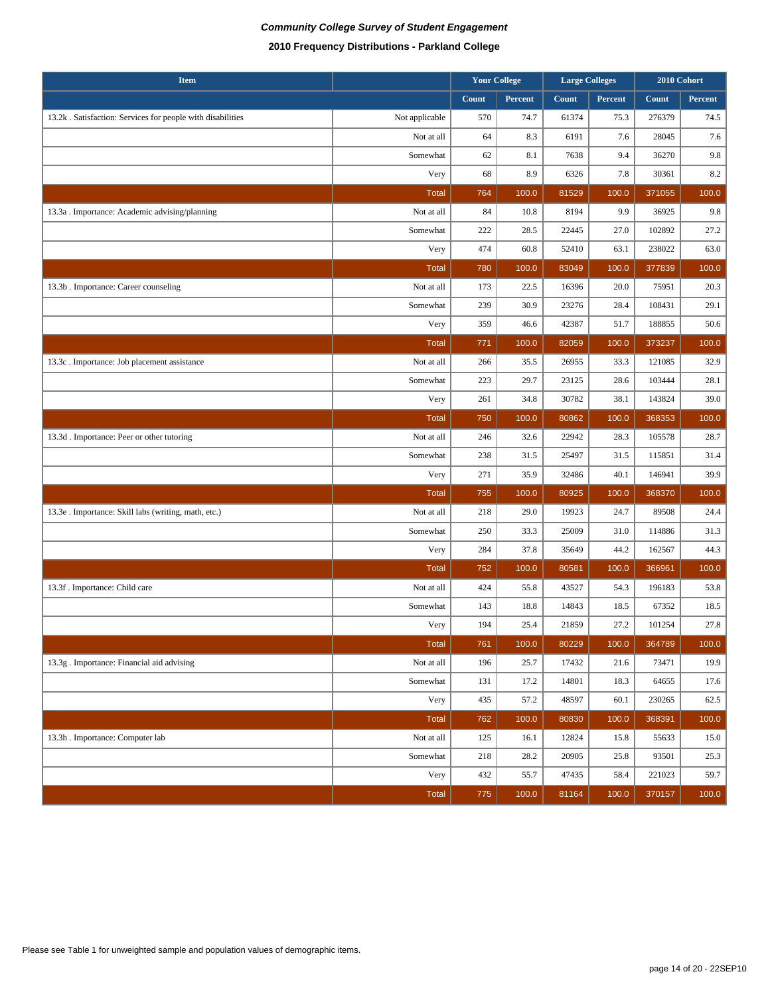| <b>Item</b>                                                |                |       | <b>Your College</b><br><b>Large Colleges</b> |       |         |        |         |  | 2010 Cohort |
|------------------------------------------------------------|----------------|-------|----------------------------------------------|-------|---------|--------|---------|--|-------------|
|                                                            |                | Count | Percent                                      | Count | Percent | Count  | Percent |  |             |
| 13.2k. Satisfaction: Services for people with disabilities | Not applicable | 570   | 74.7                                         | 61374 | 75.3    | 276379 | 74.5    |  |             |
|                                                            | Not at all     | 64    | 8.3                                          | 6191  | 7.6     | 28045  | 7.6     |  |             |
|                                                            | Somewhat       | 62    | 8.1                                          | 7638  | 9.4     | 36270  | 9.8     |  |             |
|                                                            | Very           | 68    | 8.9                                          | 6326  | 7.8     | 30361  | 8.2     |  |             |
|                                                            | <b>Total</b>   | 764   | 100.0                                        | 81529 | 100.0   | 371055 | 100.0   |  |             |
| 13.3a . Importance: Academic advising/planning             | Not at all     | 84    | 10.8                                         | 8194  | 9.9     | 36925  | 9.8     |  |             |
|                                                            | Somewhat       | 222   | 28.5                                         | 22445 | 27.0    | 102892 | 27.2    |  |             |
|                                                            | Very           | 474   | 60.8                                         | 52410 | 63.1    | 238022 | 63.0    |  |             |
|                                                            | <b>Total</b>   | 780   | 100.0                                        | 83049 | 100.0   | 377839 | 100.0   |  |             |
| 13.3b. Importance: Career counseling                       | Not at all     | 173   | 22.5                                         | 16396 | 20.0    | 75951  | 20.3    |  |             |
|                                                            | Somewhat       | 239   | 30.9                                         | 23276 | 28.4    | 108431 | 29.1    |  |             |
|                                                            | Very           | 359   | 46.6                                         | 42387 | 51.7    | 188855 | 50.6    |  |             |
|                                                            | <b>Total</b>   | 771   | 100.0                                        | 82059 | 100.0   | 373237 | 100.0   |  |             |
| 13.3c. Importance: Job placement assistance                | Not at all     | 266   | 35.5                                         | 26955 | 33.3    | 121085 | 32.9    |  |             |
|                                                            | Somewhat       | 223   | 29.7                                         | 23125 | 28.6    | 103444 | 28.1    |  |             |
|                                                            | Very           | 261   | 34.8                                         | 30782 | 38.1    | 143824 | 39.0    |  |             |
|                                                            | <b>Total</b>   | 750   | 100.0                                        | 80862 | 100.0   | 368353 | 100.0   |  |             |
| 13.3d. Importance: Peer or other tutoring                  | Not at all     | 246   | 32.6                                         | 22942 | 28.3    | 105578 | 28.7    |  |             |
|                                                            | Somewhat       | 238   | 31.5                                         | 25497 | 31.5    | 115851 | 31.4    |  |             |
|                                                            | Very           | 271   | 35.9                                         | 32486 | 40.1    | 146941 | 39.9    |  |             |
|                                                            | <b>Total</b>   | 755   | 100.0                                        | 80925 | 100.0   | 368370 | 100.0   |  |             |
| 13.3e . Importance: Skill labs (writing, math, etc.)       | Not at all     | 218   | 29.0                                         | 19923 | 24.7    | 89508  | 24.4    |  |             |
|                                                            | Somewhat       | 250   | 33.3                                         | 25009 | 31.0    | 114886 | 31.3    |  |             |
|                                                            | Very           | 284   | 37.8                                         | 35649 | 44.2    | 162567 | 44.3    |  |             |
|                                                            | <b>Total</b>   | 752   | 100.0                                        | 80581 | 100.0   | 366961 | 100.0   |  |             |
| 13.3f. Importance: Child care                              | Not at all     | 424   | 55.8                                         | 43527 | 54.3    | 196183 | 53.8    |  |             |
|                                                            | Somewhat       | 143   | 18.8                                         | 14843 | 18.5    | 67352  | 18.5    |  |             |
|                                                            | Very           | 194   | 25.4                                         | 21859 | 27.2    | 101254 | 27.8    |  |             |
|                                                            | <b>Total</b>   | 761   | 100.0                                        | 80229 | 100.0   | 364789 | 100.0   |  |             |
| 13.3g . Importance: Financial aid advising                 | Not at all     | 196   | 25.7                                         | 17432 | 21.6    | 73471  | 19.9    |  |             |
|                                                            | Somewhat       | 131   | 17.2                                         | 14801 | 18.3    | 64655  | 17.6    |  |             |
|                                                            | Very           | 435   | 57.2                                         | 48597 | 60.1    | 230265 | 62.5    |  |             |
|                                                            | <b>Total</b>   | 762   | 100.0                                        | 80830 | 100.0   | 368391 | 100.0   |  |             |
| 13.3h . Importance: Computer lab                           | Not at all     | 125   | 16.1                                         | 12824 | 15.8    | 55633  | 15.0    |  |             |
|                                                            | Somewhat       | 218   | 28.2                                         | 20905 | 25.8    | 93501  | 25.3    |  |             |
|                                                            | Very           | 432   | 55.7                                         | 47435 | 58.4    | 221023 | 59.7    |  |             |
|                                                            | <b>Total</b>   | 775   | 100.0                                        | 81164 | 100.0   | 370157 | 100.0   |  |             |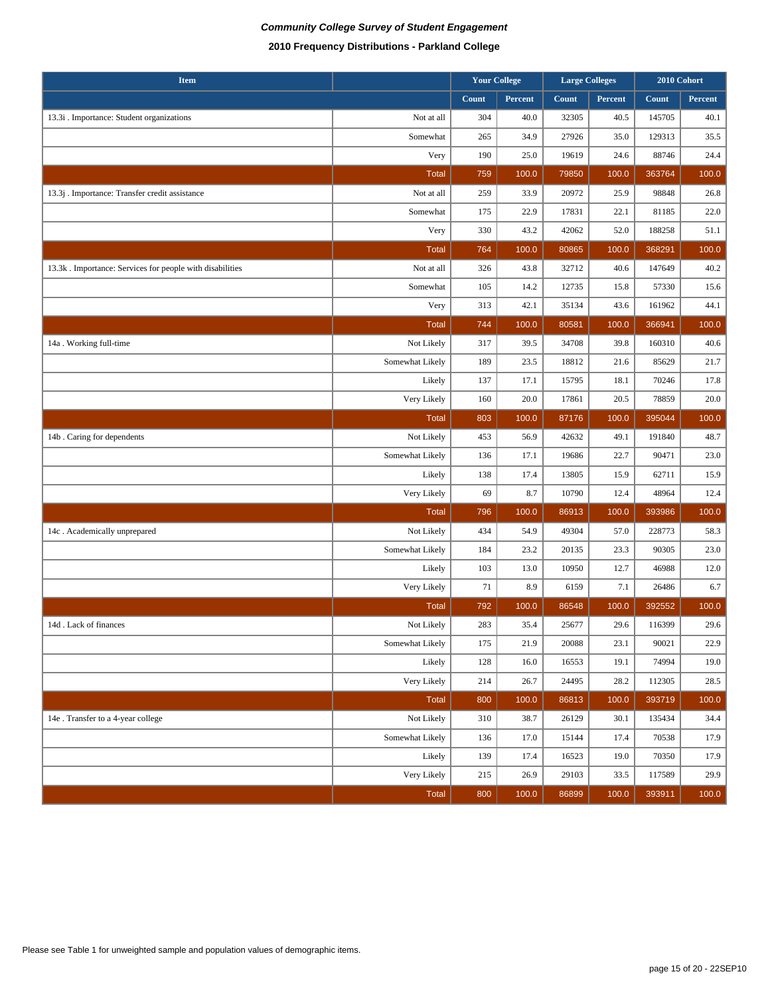| <b>Item</b>                                              |                 | <b>Your College</b> |         | <b>Large Colleges</b> |         | 2010 Cohort |         |
|----------------------------------------------------------|-----------------|---------------------|---------|-----------------------|---------|-------------|---------|
|                                                          |                 | Count               | Percent | Count                 | Percent | Count       | Percent |
| 13.3i . Importance: Student organizations                | Not at all      | 304                 | 40.0    | 32305                 | 40.5    | 145705      | 40.1    |
|                                                          | Somewhat        | 265                 | 34.9    | 27926                 | 35.0    | 129313      | 35.5    |
|                                                          | Very            | 190                 | 25.0    | 19619                 | 24.6    | 88746       | 24.4    |
|                                                          | <b>Total</b>    | 759                 | 100.0   | 79850                 | 100.0   | 363764      | 100.0   |
| 13.3j. Importance: Transfer credit assistance            | Not at all      | 259                 | 33.9    | 20972                 | 25.9    | 98848       | 26.8    |
|                                                          | Somewhat        | 175                 | 22.9    | 17831                 | 22.1    | 81185       | 22.0    |
|                                                          | Very            | 330                 | 43.2    | 42062                 | 52.0    | 188258      | 51.1    |
|                                                          | <b>Total</b>    | 764                 | 100.0   | 80865                 | 100.0   | 368291      | 100.0   |
| 13.3k. Importance: Services for people with disabilities | Not at all      | 326                 | 43.8    | 32712                 | 40.6    | 147649      | 40.2    |
|                                                          | Somewhat        | 105                 | 14.2    | 12735                 | 15.8    | 57330       | 15.6    |
|                                                          | Very            | 313                 | 42.1    | 35134                 | 43.6    | 161962      | 44.1    |
|                                                          | Total           | 744                 | 100.0   | 80581                 | 100.0   | 366941      | 100.0   |
| 14a. Working full-time                                   | Not Likely      | 317                 | 39.5    | 34708                 | 39.8    | 160310      | 40.6    |
|                                                          | Somewhat Likely | 189                 | 23.5    | 18812                 | 21.6    | 85629       | 21.7    |
|                                                          | Likely          | 137                 | 17.1    | 15795                 | 18.1    | 70246       | 17.8    |
|                                                          | Very Likely     | 160                 | 20.0    | 17861                 | 20.5    | 78859       | 20.0    |
|                                                          | <b>Total</b>    | 803                 | 100.0   | 87176                 | 100.0   | 395044      | 100.0   |
| 14b. Caring for dependents                               | Not Likely      | 453                 | 56.9    | 42632                 | 49.1    | 191840      | 48.7    |
|                                                          | Somewhat Likely | 136                 | 17.1    | 19686                 | 22.7    | 90471       | 23.0    |
|                                                          | Likely          | 138                 | 17.4    | 13805                 | 15.9    | 62711       | 15.9    |
|                                                          | Very Likely     | 69                  | 8.7     | 10790                 | 12.4    | 48964       | 12.4    |
|                                                          | <b>Total</b>    | 796                 | 100.0   | 86913                 | 100.0   | 393986      | 100.0   |
| 14c. Academically unprepared                             | Not Likely      | 434                 | 54.9    | 49304                 | 57.0    | 228773      | 58.3    |
|                                                          | Somewhat Likely | 184                 | 23.2    | 20135                 | 23.3    | 90305       | 23.0    |
|                                                          | Likely          | 103                 | 13.0    | 10950                 | 12.7    | 46988       | 12.0    |
|                                                          | Very Likely     | 71                  | 8.9     | 6159                  | 7.1     | 26486       | 6.7     |
|                                                          | <b>Total</b>    | 792                 | 100.0   | 86548                 | 100.0   | 392552      | 100.0   |
| 14d . Lack of finances                                   | Not Likely      | 283                 | 35.4    | 25677                 | 29.6    | 116399      | 29.6    |
|                                                          | Somewhat Likely | 175                 | 21.9    | 20088                 | 23.1    | 90021       | 22.9    |
|                                                          | Likely          | 128                 | 16.0    | 16553                 | 19.1    | 74994       | 19.0    |
|                                                          | Very Likely     | 214                 | 26.7    | 24495                 | 28.2    | 112305      | 28.5    |
|                                                          | Total           | 800                 | 100.0   | 86813                 | 100.0   | 393719      | 100.0   |
| 14e . Transfer to a 4-year college                       | Not Likely      | 310                 | 38.7    | 26129                 | 30.1    | 135434      | 34.4    |
|                                                          | Somewhat Likely | 136                 | 17.0    | 15144                 | 17.4    | 70538       | 17.9    |
|                                                          | Likely          | 139                 | 17.4    | 16523                 | 19.0    | 70350       | 17.9    |
|                                                          | Very Likely     | 215                 | 26.9    | 29103                 | 33.5    | 117589      | 29.9    |
|                                                          | Total           | 800                 | 100.0   | 86899                 | 100.0   | 393911      | 100.0   |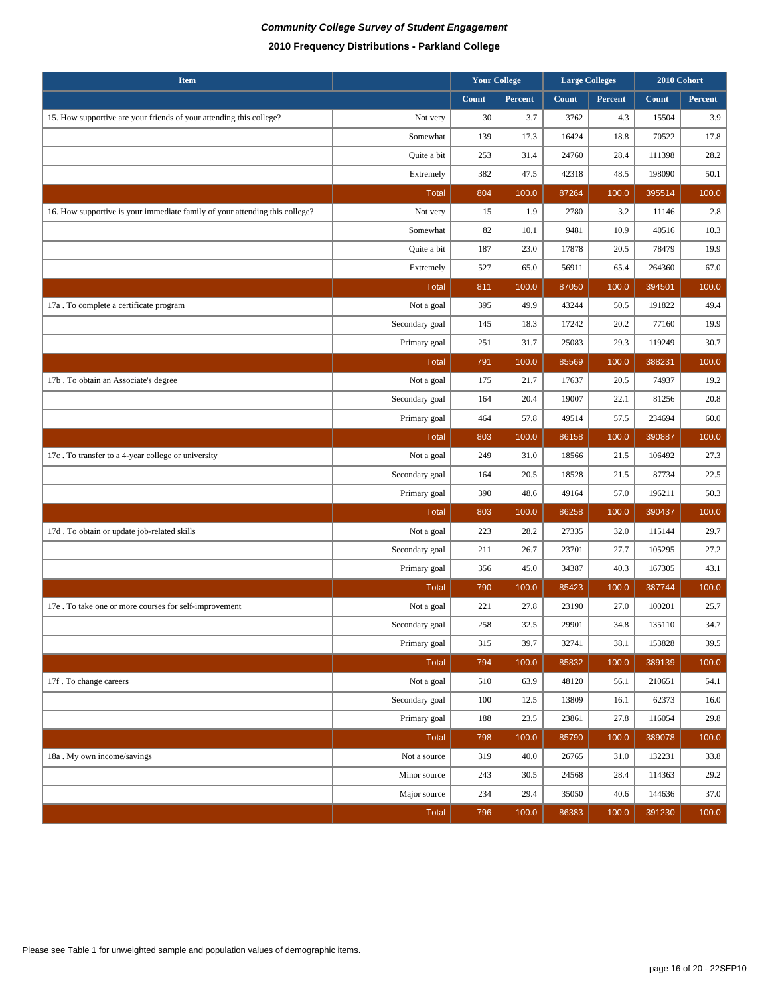## **Community College Survey of Student Engagement 2010 Frequency Distributions - Parkland College**

| <b>Item</b>                                                                 |                | <b>Your College</b> |         | <b>Large Colleges</b> |         | 2010 Cohort |         |
|-----------------------------------------------------------------------------|----------------|---------------------|---------|-----------------------|---------|-------------|---------|
|                                                                             |                | Count               | Percent | Count                 | Percent | Count       | Percent |
| 15. How supportive are your friends of your attending this college?         | Not very       | 30                  | 3.7     | 3762                  | 4.3     | 15504       | 3.9     |
|                                                                             | Somewhat       | 139                 | 17.3    | 16424                 | 18.8    | 70522       | 17.8    |
|                                                                             | Quite a bit    | 253                 | 31.4    | 24760                 | 28.4    | 111398      | 28.2    |
|                                                                             | Extremely      | 382                 | 47.5    | 42318                 | 48.5    | 198090      | 50.1    |
|                                                                             | <b>Total</b>   | 804                 | 100.0   | 87264                 | 100.0   | 395514      | 100.0   |
| 16. How supportive is your immediate family of your attending this college? | Not very       | 15                  | 1.9     | 2780                  | 3.2     | 11146       | 2.8     |
|                                                                             | Somewhat       | 82                  | 10.1    | 9481                  | 10.9    | 40516       | 10.3    |
|                                                                             | Quite a bit    | 187                 | 23.0    | 17878                 | 20.5    | 78479       | 19.9    |
|                                                                             | Extremely      | 527                 | 65.0    | 56911                 | 65.4    | 264360      | 67.0    |
|                                                                             | <b>Total</b>   | 811                 | 100.0   | 87050                 | 100.0   | 394501      | 100.0   |
| 17a . To complete a certificate program                                     | Not a goal     | 395                 | 49.9    | 43244                 | 50.5    | 191822      | 49.4    |
|                                                                             | Secondary goal | 145                 | 18.3    | 17242                 | 20.2    | 77160       | 19.9    |
|                                                                             | Primary goal   | 251                 | 31.7    | 25083                 | 29.3    | 119249      | 30.7    |
|                                                                             | <b>Total</b>   | 791                 | 100.0   | 85569                 | 100.0   | 388231      | 100.0   |
| 17b. To obtain an Associate's degree                                        | Not a goal     | 175                 | 21.7    | 17637                 | 20.5    | 74937       | 19.2    |
|                                                                             | Secondary goal | 164                 | 20.4    | 19007                 | 22.1    | 81256       | 20.8    |
|                                                                             | Primary goal   | 464                 | 57.8    | 49514                 | 57.5    | 234694      | 60.0    |
|                                                                             | <b>Total</b>   | 803                 | 100.0   | 86158                 | 100.0   | 390887      | 100.0   |
| 17c. To transfer to a 4-year college or university                          | Not a goal     | 249                 | 31.0    | 18566                 | 21.5    | 106492      | 27.3    |
|                                                                             | Secondary goal | 164                 | 20.5    | 18528                 | 21.5    | 87734       | 22.5    |
|                                                                             | Primary goal   | 390                 | 48.6    | 49164                 | 57.0    | 196211      | 50.3    |
|                                                                             | <b>Total</b>   | 803                 | 100.0   | 86258                 | 100.0   | 390437      | 100.0   |
| 17d. To obtain or update job-related skills                                 | Not a goal     | 223                 | 28.2    | 27335                 | 32.0    | 115144      | 29.7    |
|                                                                             | Secondary goal | 211                 | 26.7    | 23701                 | 27.7    | 105295      | 27.2    |
|                                                                             | Primary goal   | 356                 | 45.0    | 34387                 | 40.3    | 167305      | 43.1    |
|                                                                             | <b>Total</b>   | 790                 | 100.0   | 85423                 | 100.0   | 387744      | 100.0   |
| 17e . To take one or more courses for self-improvement                      | Not a goal     | 221                 | 27.8    | 23190                 | 27.0    | 100201      | 25.7    |
|                                                                             | Secondary goal | 258                 | 32.5    | 29901                 | 34.8    | 135110      | 34.7    |
|                                                                             | Primary goal   | 315                 | 39.7    | 32741                 | 38.1    | 153828      | 39.5    |
|                                                                             | <b>Total</b>   | 794                 | 100.0   | 85832                 | 100.0   | 389139      | 100.0   |
| 17f. To change careers                                                      | Not a goal     | 510                 | 63.9    | 48120                 | 56.1    | 210651      | 54.1    |
|                                                                             | Secondary goal | 100                 | 12.5    | 13809                 | 16.1    | 62373       | 16.0    |
|                                                                             | Primary goal   | 188                 | 23.5    | 23861                 | 27.8    | 116054      | 29.8    |
|                                                                             | Total          | 798                 | 100.0   | 85790                 | 100.0   | 389078      | 100.0   |
| 18a. My own income/savings                                                  | Not a source   | 319                 | 40.0    | 26765                 | 31.0    | 132231      | 33.8    |
|                                                                             | Minor source   | 243                 | 30.5    | 24568                 | 28.4    | 114363      | 29.2    |
|                                                                             | Major source   | 234                 | 29.4    | 35050                 | 40.6    | 144636      | 37.0    |
|                                                                             | Total          | 796                 | 100.0   | 86383                 | 100.0   | 391230      | 100.0   |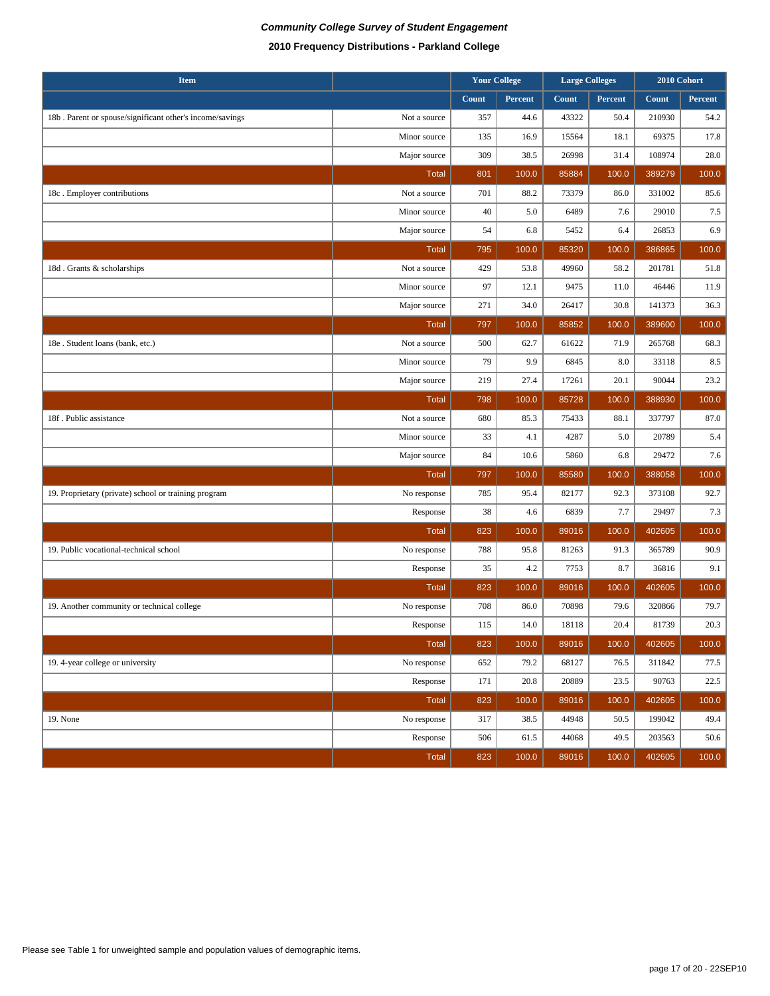| <b>Item</b>                                              |              | <b>Your College</b> |         |       | <b>Large Colleges</b> |        | 2010 Cohort |  |
|----------------------------------------------------------|--------------|---------------------|---------|-------|-----------------------|--------|-------------|--|
|                                                          |              | Count               | Percent | Count | Percent               | Count  | Percent     |  |
| 18b. Parent or spouse/significant other's income/savings | Not a source | 357                 | 44.6    | 43322 | 50.4                  | 210930 | 54.2        |  |
|                                                          | Minor source | 135                 | 16.9    | 15564 | 18.1                  | 69375  | 17.8        |  |
|                                                          | Major source | 309                 | 38.5    | 26998 | 31.4                  | 108974 | 28.0        |  |
|                                                          | Total        | 801                 | 100.0   | 85884 | 100.0                 | 389279 | 100.0       |  |
| 18c. Employer contributions                              | Not a source | 701                 | 88.2    | 73379 | 86.0                  | 331002 | 85.6        |  |
|                                                          | Minor source | 40                  | 5.0     | 6489  | 7.6                   | 29010  | 7.5         |  |
|                                                          | Major source | 54                  | 6.8     | 5452  | 6.4                   | 26853  | 6.9         |  |
|                                                          | <b>Total</b> | 795                 | 100.0   | 85320 | 100.0                 | 386865 | 100.0       |  |
| 18d. Grants & scholarships                               | Not a source | 429                 | 53.8    | 49960 | 58.2                  | 201781 | 51.8        |  |
|                                                          | Minor source | 97                  | 12.1    | 9475  | 11.0                  | 46446  | 11.9        |  |
|                                                          | Major source | 271                 | 34.0    | 26417 | 30.8                  | 141373 | 36.3        |  |
|                                                          | <b>Total</b> | 797                 | 100.0   | 85852 | 100.0                 | 389600 | 100.0       |  |
| 18e . Student loans (bank, etc.)                         | Not a source | 500                 | 62.7    | 61622 | 71.9                  | 265768 | 68.3        |  |
|                                                          | Minor source | 79                  | 9.9     | 6845  | 8.0                   | 33118  | 8.5         |  |
|                                                          | Major source | 219                 | 27.4    | 17261 | 20.1                  | 90044  | 23.2        |  |
|                                                          | <b>Total</b> | 798                 | 100.0   | 85728 | 100.0                 | 388930 | 100.0       |  |
| 18f. Public assistance                                   | Not a source | 680                 | 85.3    | 75433 | 88.1                  | 337797 | 87.0        |  |
|                                                          | Minor source | 33                  | 4.1     | 4287  | 5.0                   | 20789  | 5.4         |  |
|                                                          | Major source | 84                  | 10.6    | 5860  | 6.8                   | 29472  | 7.6         |  |
|                                                          | <b>Total</b> | 797                 | 100.0   | 85580 | 100.0                 | 388058 | 100.0       |  |
| 19. Proprietary (private) school or training program     | No response  | 785                 | 95.4    | 82177 | 92.3                  | 373108 | 92.7        |  |
|                                                          | Response     | 38                  | 4.6     | 6839  | 7.7                   | 29497  | 7.3         |  |
|                                                          | <b>Total</b> | 823                 | 100.0   | 89016 | 100.0                 | 402605 | 100.0       |  |
| 19. Public vocational-technical school                   | No response  | 788                 | 95.8    | 81263 | 91.3                  | 365789 | 90.9        |  |
|                                                          | Response     | 35                  | 4.2     | 7753  | 8.7                   | 36816  | 9.1         |  |
|                                                          | <b>Total</b> | 823                 | 100.0   | 89016 | 100.0                 | 402605 | 100.0       |  |
| 19. Another community or technical college               | No response  | 708                 | 86.0    | 70898 | 79.6                  | 320866 | 79.7        |  |
|                                                          | Response     | 115                 | 14.0    | 18118 | 20.4                  | 81739  | 20.3        |  |
|                                                          | Total        | 823                 | 100.0   | 89016 | 100.0                 | 402605 | 100.0       |  |
| 19. 4-year college or university                         | No response  | 652                 | 79.2    | 68127 | 76.5                  | 311842 | 77.5        |  |
|                                                          | Response     | 171                 | 20.8    | 20889 | 23.5                  | 90763  | 22.5        |  |
|                                                          | <b>Total</b> | 823                 | 100.0   | 89016 | 100.0                 | 402605 | 100.0       |  |
| 19. None                                                 | No response  | 317                 | 38.5    | 44948 | 50.5                  | 199042 | 49.4        |  |
|                                                          | Response     | 506                 | 61.5    | 44068 | 49.5                  | 203563 | 50.6        |  |
|                                                          | Total        | 823                 | 100.0   | 89016 | 100.0                 | 402605 | 100.0       |  |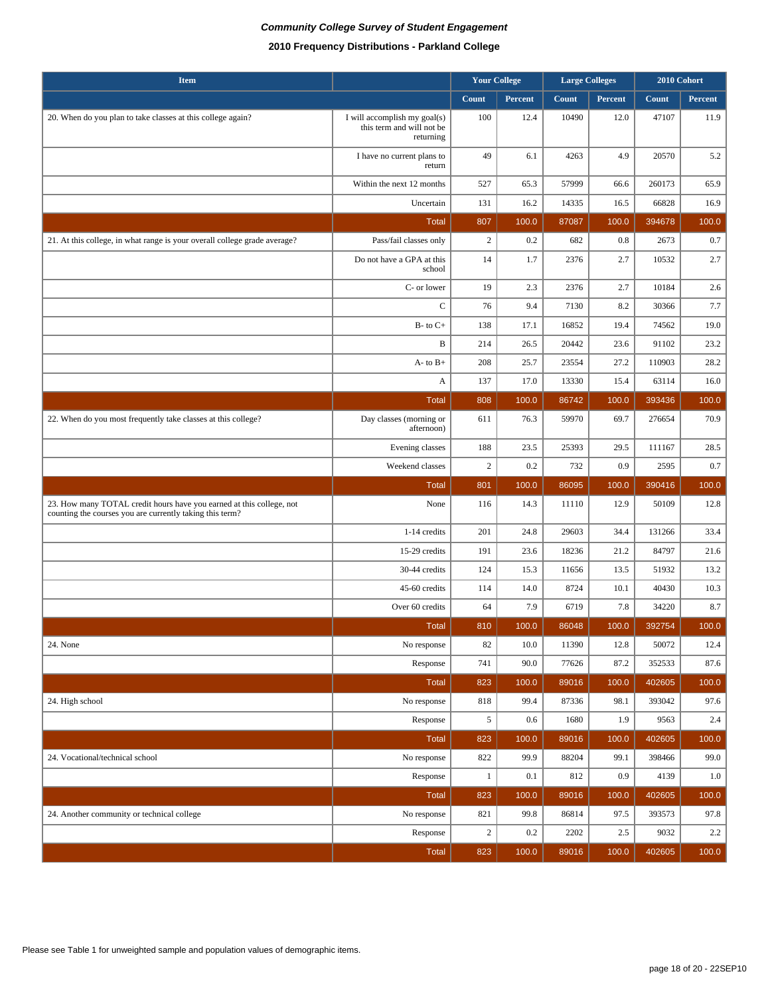| <b>Item</b>                                                                                                                      |                                                                        | <b>Your College</b> |         | <b>Large Colleges</b> |         |        | 2010 Cohort |
|----------------------------------------------------------------------------------------------------------------------------------|------------------------------------------------------------------------|---------------------|---------|-----------------------|---------|--------|-------------|
|                                                                                                                                  |                                                                        | Count               | Percent | Count                 | Percent | Count  | Percent     |
| 20. When do you plan to take classes at this college again?                                                                      | I will accomplish my goal(s)<br>this term and will not be<br>returning | 100                 | 12.4    | 10490                 | 12.0    | 47107  | 11.9        |
|                                                                                                                                  | I have no current plans to<br>return                                   | 49                  | 6.1     | 4263                  | 4.9     | 20570  | 5.2         |
|                                                                                                                                  | Within the next 12 months                                              | 527                 | 65.3    | 57999                 | 66.6    | 260173 | 65.9        |
|                                                                                                                                  | Uncertain                                                              | 131                 | 16.2    | 14335                 | 16.5    | 66828  | 16.9        |
|                                                                                                                                  | <b>Total</b>                                                           | 807                 | 100.0   | 87087                 | 100.0   | 394678 | 100.0       |
| 21. At this college, in what range is your overall college grade average?                                                        | Pass/fail classes only                                                 | $\overline{c}$      | 0.2     | 682                   | 0.8     | 2673   | 0.7         |
|                                                                                                                                  | Do not have a GPA at this<br>school                                    | 14                  | 1.7     | 2376                  | 2.7     | 10532  | 2.7         |
|                                                                                                                                  | C- or lower                                                            | 19                  | 2.3     | 2376                  | 2.7     | 10184  | 2.6         |
|                                                                                                                                  | $\mathsf{C}$                                                           | 76                  | 9.4     | 7130                  | 8.2     | 30366  | 7.7         |
|                                                                                                                                  | $B-$ to $C+$                                                           | 138                 | 17.1    | 16852                 | 19.4    | 74562  | 19.0        |
|                                                                                                                                  | B                                                                      | 214                 | 26.5    | 20442                 | 23.6    | 91102  | 23.2        |
|                                                                                                                                  | $A$ - to $B$ +                                                         | 208                 | 25.7    | 23554                 | 27.2    | 110903 | 28.2        |
|                                                                                                                                  | A                                                                      | 137                 | 17.0    | 13330                 | 15.4    | 63114  | 16.0        |
|                                                                                                                                  | <b>Total</b>                                                           | 808                 | 100.0   | 86742                 | 100.0   | 393436 | 100.0       |
| 22. When do you most frequently take classes at this college?                                                                    | Day classes (morning or<br>afternoon)                                  | 611                 | 76.3    | 59970                 | 69.7    | 276654 | 70.9        |
|                                                                                                                                  | Evening classes                                                        | 188                 | 23.5    | 25393                 | 29.5    | 111167 | 28.5        |
|                                                                                                                                  | Weekend classes                                                        | $\sqrt{2}$          | 0.2     | 732                   | 0.9     | 2595   | 0.7         |
|                                                                                                                                  | <b>Total</b>                                                           | 801                 | 100.0   | 86095                 | 100.0   | 390416 | 100.0       |
| 23. How many TOTAL credit hours have you earned at this college, not<br>counting the courses you are currently taking this term? | None                                                                   | 116                 | 14.3    | 11110                 | 12.9    | 50109  | 12.8        |
|                                                                                                                                  | 1-14 credits                                                           | 201                 | 24.8    | 29603                 | 34.4    | 131266 | 33.4        |
|                                                                                                                                  | 15-29 credits                                                          | 191                 | 23.6    | 18236                 | 21.2    | 84797  | 21.6        |
|                                                                                                                                  | 30-44 credits                                                          | 124                 | 15.3    | 11656                 | 13.5    | 51932  | 13.2        |
|                                                                                                                                  | 45-60 credits                                                          | 114                 | 14.0    | 8724                  | 10.1    | 40430  | 10.3        |
|                                                                                                                                  | Over 60 credits                                                        | 64                  | 7.9     | 6719                  | 7.8     | 34220  | 8.7         |
|                                                                                                                                  | <b>Total</b>                                                           | 810                 | 100.0   | 86048                 | 100.0   | 392754 | 100.0       |
| 24. None                                                                                                                         | No response                                                            | 82                  | 10.0    | 11390                 | 12.8    | 50072  | 12.4        |
|                                                                                                                                  | Response                                                               | 741                 | 90.0    | 77626                 | 87.2    | 352533 | 87.6        |
|                                                                                                                                  | Total                                                                  | 823                 | 100.0   | 89016                 | 100.0   | 402605 | 100.0       |
| 24. High school                                                                                                                  | No response                                                            | 818                 | 99.4    | 87336                 | 98.1    | 393042 | 97.6        |
|                                                                                                                                  | Response                                                               | 5                   | 0.6     | 1680                  | 1.9     | 9563   | 2.4         |
|                                                                                                                                  | Total                                                                  | 823                 | 100.0   | 89016                 | 100.0   | 402605 | 100.0       |
| 24. Vocational/technical school                                                                                                  | No response                                                            | 822                 | 99.9    | 88204                 | 99.1    | 398466 | 99.0        |
|                                                                                                                                  | Response                                                               | $\mathbf{1}$        | 0.1     | 812                   | 0.9     | 4139   | $1.0\,$     |
|                                                                                                                                  | <b>Total</b>                                                           | 823                 | 100.0   | 89016                 | 100.0   | 402605 | 100.0       |
| 24. Another community or technical college                                                                                       | No response                                                            | 821                 | 99.8    | 86814                 | 97.5    | 393573 | 97.8        |
|                                                                                                                                  | Response                                                               | $\sqrt{2}$          | 0.2     | 2202                  | 2.5     | 9032   | $2.2\,$     |
|                                                                                                                                  | Total                                                                  | 823                 | 100.0   | 89016                 | 100.0   | 402605 | 100.0       |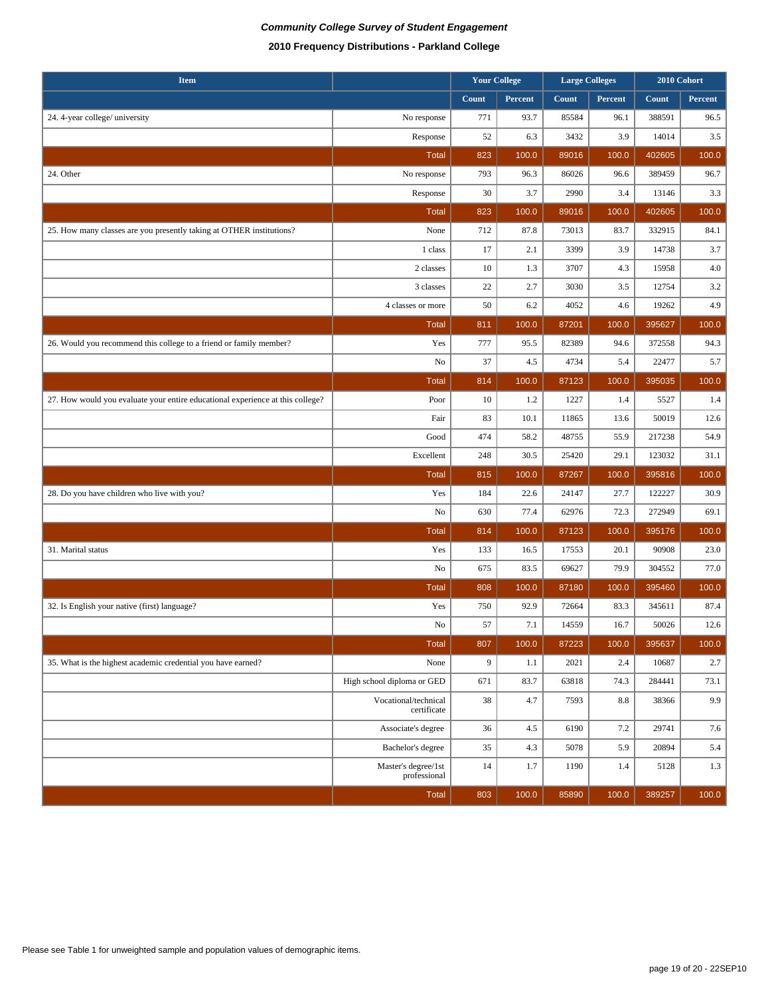| <b>Item</b>                                                                    |                                     |       | <b>Your College</b> | <b>Large Colleges</b> |         |        |         | 2010 Cohort |  |
|--------------------------------------------------------------------------------|-------------------------------------|-------|---------------------|-----------------------|---------|--------|---------|-------------|--|
|                                                                                |                                     | Count | Percent             | Count                 | Percent | Count  | Percent |             |  |
| 24. 4-year college/ university                                                 | No response                         | 771   | 93.7                | 85584                 | 96.1    | 388591 | 96.5    |             |  |
|                                                                                | Response                            | 52    | 6.3                 | 3432                  | 3.9     | 14014  | 3.5     |             |  |
|                                                                                | <b>Total</b>                        | 823   | 100.0               | 89016                 | 100.0   | 402605 | 100.0   |             |  |
| 24. Other                                                                      | No response                         | 793   | 96.3                | 86026                 | 96.6    | 389459 | 96.7    |             |  |
|                                                                                | Response                            | 30    | 3.7                 | 2990                  | 3.4     | 13146  | 3.3     |             |  |
|                                                                                | <b>Total</b>                        | 823   | 100.0               | 89016                 | 100.0   | 402605 | 100.0   |             |  |
| 25. How many classes are you presently taking at OTHER institutions?           | None                                | 712   | 87.8                | 73013                 | 83.7    | 332915 | 84.1    |             |  |
|                                                                                | 1 class                             | 17    | 2.1                 | 3399                  | 3.9     | 14738  | 3.7     |             |  |
|                                                                                | 2 classes                           | 10    | 1.3                 | 3707                  | 4.3     | 15958  | 4.0     |             |  |
|                                                                                | 3 classes                           | 22    | 2.7                 | 3030                  | 3.5     | 12754  | 3.2     |             |  |
|                                                                                | 4 classes or more                   | 50    | 6.2                 | 4052                  | 4.6     | 19262  | 4.9     |             |  |
|                                                                                | <b>Total</b>                        | 811   | 100.0               | 87201                 | 100.0   | 395627 | 100.0   |             |  |
| 26. Would you recommend this college to a friend or family member?             | Yes                                 | 777   | 95.5                | 82389                 | 94.6    | 372558 | 94.3    |             |  |
|                                                                                | No                                  | 37    | 4.5                 | 4734                  | 5.4     | 22477  | 5.7     |             |  |
|                                                                                | <b>Total</b>                        | 814   | 100.0               | 87123                 | 100.0   | 395035 | 100.0   |             |  |
| 27. How would you evaluate your entire educational experience at this college? | Poor                                | 10    | 1.2                 | 1227                  | 1.4     | 5527   | 1.4     |             |  |
|                                                                                | Fair                                | 83    | 10.1                | 11865                 | 13.6    | 50019  | 12.6    |             |  |
|                                                                                | Good                                | 474   | 58.2                | 48755                 | 55.9    | 217238 | 54.9    |             |  |
|                                                                                | Excellent                           | 248   | 30.5                | 25420                 | 29.1    | 123032 | 31.1    |             |  |
|                                                                                | <b>Total</b>                        | 815   | 100.0               | 87267                 | 100.0   | 395816 | 100.0   |             |  |
| 28. Do you have children who live with you?                                    | Yes                                 | 184   | 22.6                | 24147                 | 27.7    | 122227 | 30.9    |             |  |
|                                                                                | No                                  | 630   | 77.4                | 62976                 | 72.3    | 272949 | 69.1    |             |  |
|                                                                                | <b>Total</b>                        | 814   | 100.0               | 87123                 | 100.0   | 395176 | 100.0   |             |  |
| 31. Marital status                                                             | Yes                                 | 133   | 16.5                | 17553                 | 20.1    | 90908  | 23.0    |             |  |
|                                                                                | No                                  | 675   | 83.5                | 69627                 | 79.9    | 304552 | 77.0    |             |  |
|                                                                                | <b>Total</b>                        | 808   | 100.0               | 87180                 | 100.0   | 395460 | 100.0   |             |  |
| 32. Is English your native (first) language?                                   | Yes                                 | 750   | 92.9                | 72664                 | 83.3    | 345611 | 87.4    |             |  |
|                                                                                | No                                  | 57    | 7.1                 | 14559                 | 16.7    | 50026  | 12.6    |             |  |
|                                                                                | <b>Total</b>                        | 807   | 100.0               | 87223                 | 100.0   | 395637 | 100.0   |             |  |
| 35. What is the highest academic credential you have earned?                   | None                                | 9     | 1.1                 | 2021                  | 2.4     | 10687  | 2.7     |             |  |
|                                                                                | High school diploma or GED          | 671   | 83.7                | 63818                 | 74.3    | 284441 | 73.1    |             |  |
|                                                                                | Vocational/technical<br>certificate | 38    | 4.7                 | 7593                  | 8.8     | 38366  | 9.9     |             |  |
|                                                                                | Associate's degree                  | 36    | 4.5                 | 6190                  | 7.2     | 29741  | 7.6     |             |  |
|                                                                                | Bachelor's degree                   | 35    | 4.3                 | 5078                  | 5.9     | 20894  | 5.4     |             |  |
|                                                                                | Master's degree/1st<br>professional | 14    | 1.7                 | 1190                  | 1.4     | 5128   | 1.3     |             |  |
|                                                                                | Total                               | 803   | 100.0               | 85890                 | 100.0   | 389257 | 100.0   |             |  |